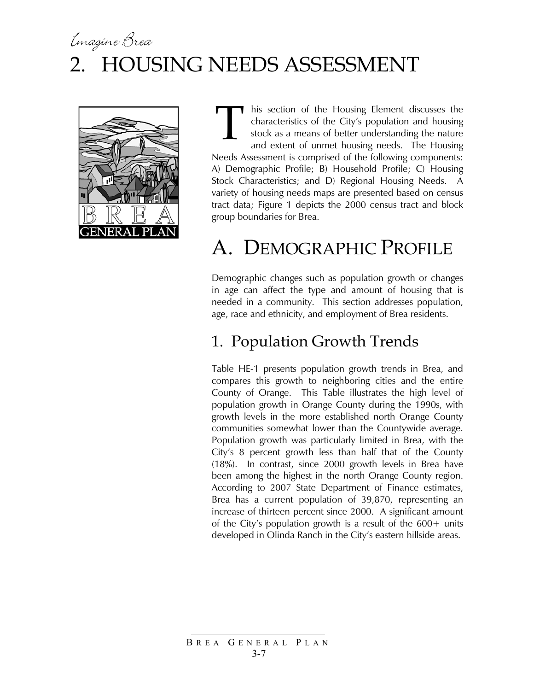# Emagine Brea 2. HOUSING NEEDS ASSESSMENT



his section of the Housing Element discusses the characteristics of the City's population and housing stock as a means of better understanding the nature and extent of unmet housing needs. The Housing Needs Assessment is comprised of the following components: A) Demographic Profile; B) Household Profile; C) Housing Stock Characteristics; and D) Regional Housing Needs. A variety of housing needs maps are presented based on census tract data; Figure 1 depicts the 2000 census tract and block group boundaries for Brea. T

# A. DEMOGRAPHIC PROFILE

Demographic changes such as population growth or changes in age can affect the type and amount of housing that is needed in a community. This section addresses population, age, race and ethnicity, and employment of Brea residents.

### 1. Population Growth Trends

Table HE-1 presents population growth trends in Brea, and compares this growth to neighboring cities and the entire County of Orange. This Table illustrates the high level of population growth in Orange County during the 1990s, with growth levels in the more established north Orange County communities somewhat lower than the Countywide average. Population growth was particularly limited in Brea, with the City's 8 percent growth less than half that of the County (18%). In contrast, since 2000 growth levels in Brea have been among the highest in the north Orange County region. According to 2007 State Department of Finance estimates, Brea has a current population of 39,870, representing an increase of thirteen percent since 2000. A significant amount of the City's population growth is a result of the  $600+$  units developed in Olinda Ranch in the City's eastern hillside areas.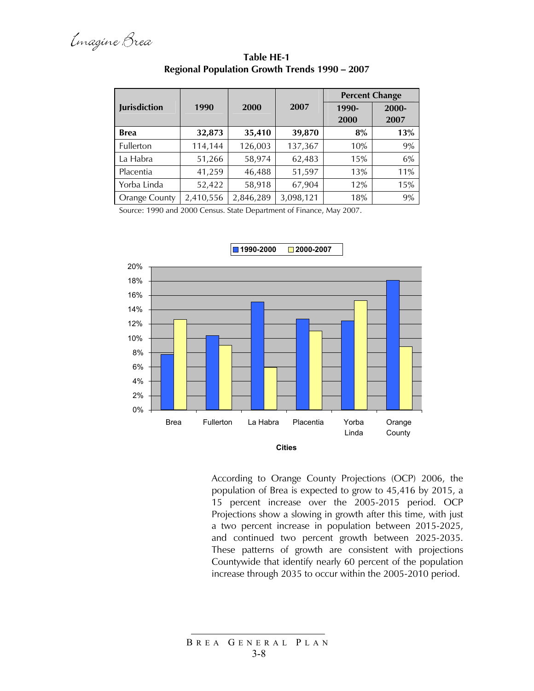|                      |           |           |           |       | <b>Percent Change</b> |  |
|----------------------|-----------|-----------|-----------|-------|-----------------------|--|
| <b>Jurisdiction</b>  | 1990      | 2000      | 2007      | 1990- | 2000-                 |  |
|                      |           |           |           | 2000  | 2007                  |  |
| <b>Brea</b>          | 32,873    | 35,410    | 39,870    | 8%    | 13%                   |  |
| Fullerton            | 114,144   | 126,003   | 137,367   | 10%   | 9%                    |  |
| La Habra             | 51,266    | 58,974    | 62,483    | 15%   | 6%                    |  |
| Placentia            | 41,259    | 46,488    | 51,597    | 13%   | 11%                   |  |
| Yorba Linda          | 52,422    | 58,918    | 67,904    | 12%   | 15%                   |  |
| <b>Orange County</b> | 2,410,556 | 2,846,289 | 3,098,121 | 18%   | 9%                    |  |

**Table HE-1 Regional Population Growth Trends 1990 – 2007** 

Source: 1990 and 2000 Census. State Department of Finance, May 2007.



According to Orange County Projections (OCP) 2006, the population of Brea is expected to grow to 45,416 by 2015, a 15 percent increase over the 2005-2015 period. OCP Projections show a slowing in growth after this time, with just a two percent increase in population between 2015-2025, and continued two percent growth between 2025-2035. These patterns of growth are consistent with projections Countywide that identify nearly 60 percent of the population increase through 2035 to occur within the 2005-2010 period.

B REA G ENERAL P LAN 3-8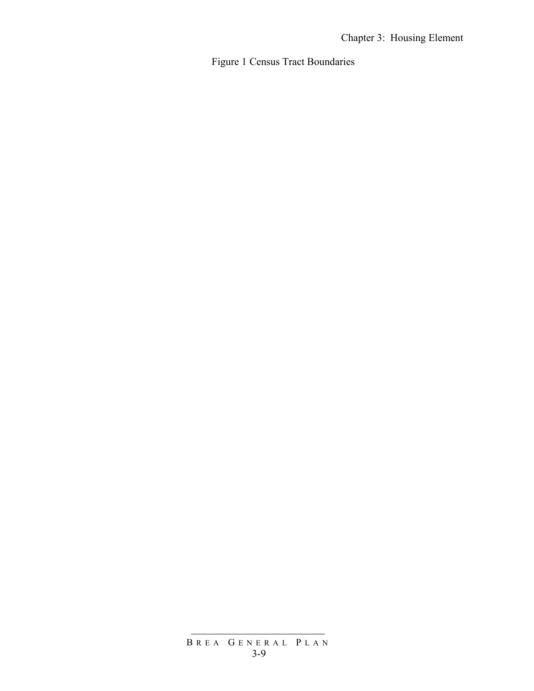Figure 1 Census Tract Boundaries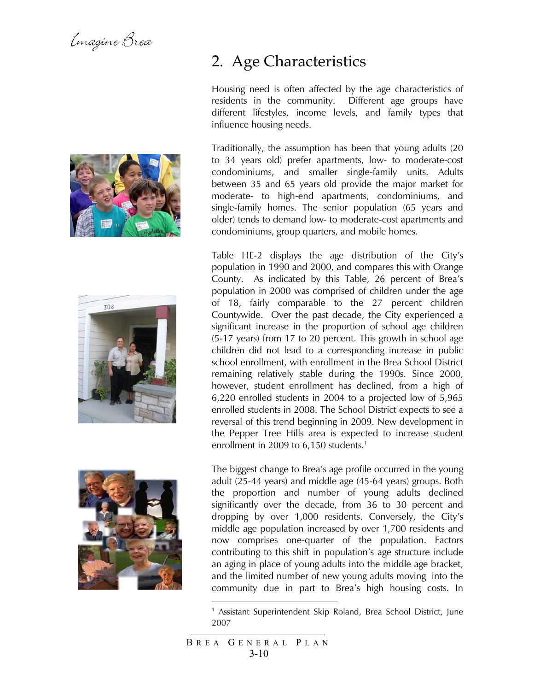Emagine Brea







### 2. Age Characteristics

Housing need is often affected by the age characteristics of residents in the community. Different age groups have different lifestyles, income levels, and family types that influence housing needs.

Traditionally, the assumption has been that young adults (20 to 34 years old) prefer apartments, low- to moderate-cost condominiums, and smaller single-family units. Adults between 35 and 65 years old provide the major market for moderate- to high-end apartments, condominiums, and single-family homes. The senior population (65 years and older) tends to demand low- to moderate-cost apartments and condominiums, group quarters, and mobile homes.

Table HE-2 displays the age distribution of the City's population in 1990 and 2000, and compares this with Orange County. As indicated by this Table, 26 percent of Brea's population in 2000 was comprised of children under the age of 18, fairly comparable to the 27 percent children Countywide. Over the past decade, the City experienced a significant increase in the proportion of school age children (5-17 years) from 17 to 20 percent. This growth in school age children did not lead to a corresponding increase in public school enrollment, with enrollment in the Brea School District remaining relatively stable during the 1990s. Since 2000, however, student enrollment has declined, from a high of 6,220 enrolled students in 2004 to a projected low of 5,965 enrolled students in 2008. The School District expects to see a reversal of this trend beginning in 2009. New development in the Pepper Tree Hills area is expected to increase student enrollment in 2009 to 6,150 students. $^1$ 

The biggest change to Brea's age profile occurred in the young adult (25-44 years) and middle age (45-64 years) groups. Both the proportion and number of young adults declined significantly over the decade, from 36 to 30 percent and dropping by over 1,000 residents. Conversely, the City's middle age population increased by over 1,700 residents and now comprises one-quarter of the population. Factors contributing to this shift in population's age structure include an aging in place of young adults into the middle age bracket, and the limited number of new young adults moving into the community due in part to Brea's high housing costs. In

1

<sup>&</sup>lt;sup>1</sup> Assistant Superintendent Skip Roland, Brea School District, June 2007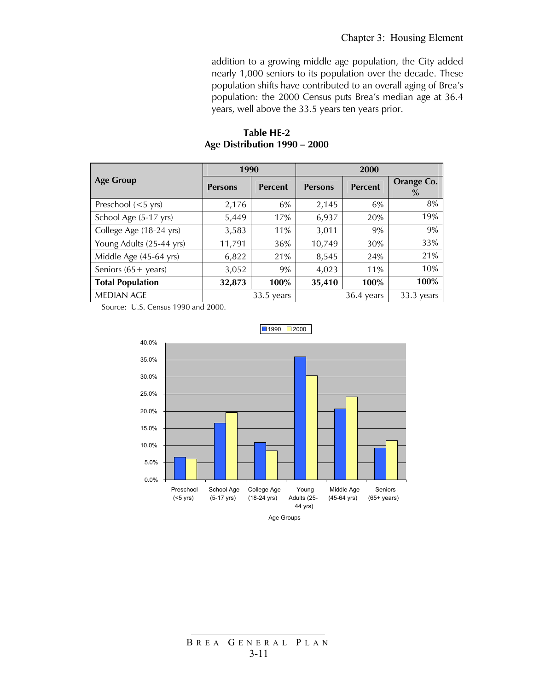addition to a growing middle age population, the City added nearly 1,000 seniors to its population over the decade. These population shifts have contributed to an overall aging of Brea's population: the 2000 Census puts Brea's median age at 36.4 years, well above the 33.5 years ten years prior.

|                               | 1990           |                | 2000           |                |                    |
|-------------------------------|----------------|----------------|----------------|----------------|--------------------|
| <b>Age Group</b>              | <b>Persons</b> | <b>Percent</b> | <b>Persons</b> | <b>Percent</b> | Orange Co.<br>$\%$ |
| Preschool $(<5 \text{ yrs})$  | 2,176          | 6%             | 2,145          | 6%             | 8%                 |
| School Age (5-17 yrs)         | 5,449          | 17%            | 6,937          | 20%            | 19%                |
| College Age (18-24 yrs)       | 3,583          | 11%            | 3,011          | 9%             | 9%                 |
| Young Adults (25-44 yrs)      | 11,791         | 36%            | 10,749         | 30%            | 33%                |
| Middle Age (45-64 yrs)        | 6,822          | 21%            | 8,545          | 24%            | 21%                |
| Seniors $(65 + \text{years})$ | 3,052          | 9%             | 4,023          | 11%            | 10%                |
| <b>Total Population</b>       | 32,873         | 100%           | 35,410         | 100%           | 100%               |
| <b>MEDIAN AGE</b>             |                | $33.5$ years   |                | $36.4$ years   | 33.3 years         |

### **Table HE-2 Age Distribution 1990 – 2000**

Source: U.S. Census 1990 and 2000.



 $1990$  2000

Age Groups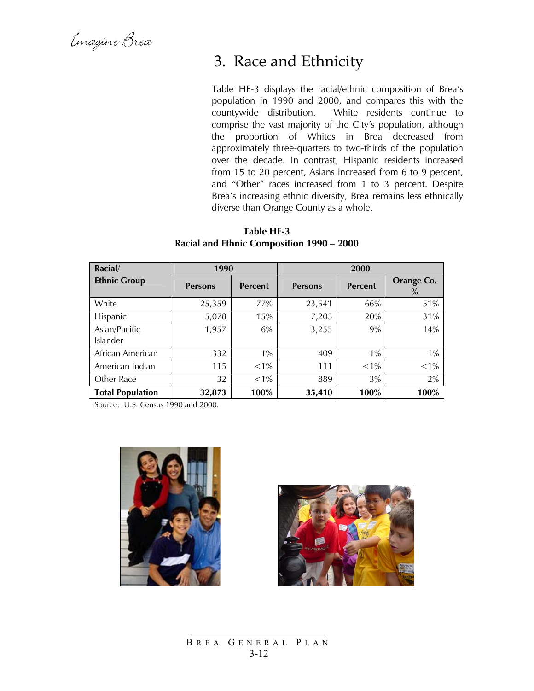Emagine Brea

### 3. Race and Ethnicity

Table HE-3 displays the racial/ethnic composition of Brea's population in 1990 and 2000, and compares this with the countywide distribution. White residents continue to comprise the vast majority of the City's population, although the proportion of Whites in Brea decreased from approximately three-quarters to two-thirds of the population over the decade. In contrast, Hispanic residents increased from 15 to 20 percent, Asians increased from 6 to 9 percent, and "Other" races increased from 1 to 3 percent. Despite Brea's increasing ethnic diversity, Brea remains less ethnically diverse than Orange County as a whole.

| Racial/                   | 1990           |                | 2000           |                |                    |  |
|---------------------------|----------------|----------------|----------------|----------------|--------------------|--|
| <b>Ethnic Group</b>       | <b>Persons</b> | <b>Percent</b> | <b>Persons</b> | <b>Percent</b> | Orange Co.<br>$\%$ |  |
| White                     | 25,359         | 77%            | 23,541         | 66%            | 51%                |  |
| Hispanic                  | 5,078          | 15%            | 7,205          | 20%            | 31%                |  |
| Asian/Pacific<br>Islander | 1,957          | 6%             | 3,255          | 9%             | 14%                |  |
| African American          | 332            | 1%             | 409            | 1%             | 1%                 |  |
| American Indian           | 115            | $< 1\%$        | 111            | $< 1\%$        | $< 1\%$            |  |

Other Race 32 <1% 889 3% 2% **Total Population 32,873 100% 35,410 100% 100%** 

#### **Table HE-3 Racial and Ethnic Composition 1990 – 2000**

Source: U.S. Census 1990 and 2000.





B REA G ENERAL P LAN 3-12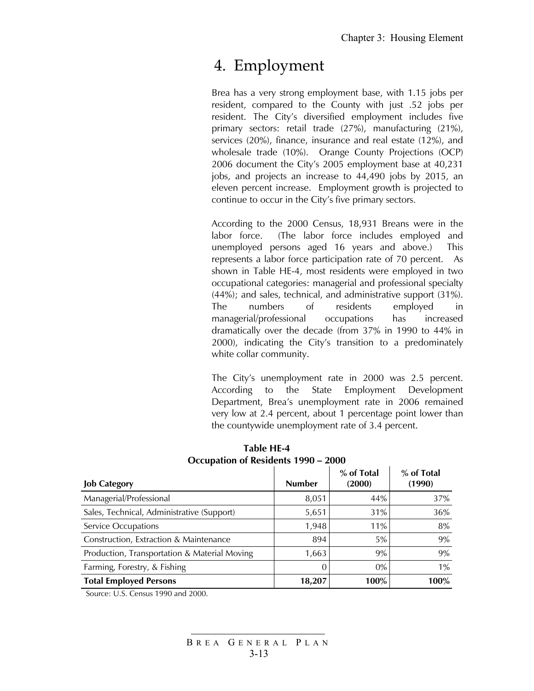### 4. Employment

Brea has a very strong employment base, with 1.15 jobs per resident, compared to the County with just .52 jobs per resident. The City's diversified employment includes five primary sectors: retail trade (27%), manufacturing (21%), services (20%), finance, insurance and real estate (12%), and wholesale trade (10%). Orange County Projections (OCP) 2006 document the City's 2005 employment base at 40,231 jobs, and projects an increase to 44,490 jobs by 2015, an eleven percent increase. Employment growth is projected to continue to occur in the City's five primary sectors.

According to the 2000 Census, 18,931 Breans were in the labor force. (The labor force includes employed and unemployed persons aged 16 years and above.) This represents a labor force participation rate of 70 percent. As shown in Table HE-4, most residents were employed in two occupational categories: managerial and professional specialty (44%); and sales, technical, and administrative support (31%). The numbers of residents employed in managerial/professional occupations has increased dramatically over the decade (from 37% in 1990 to 44% in 2000), indicating the City's transition to a predominately white collar community.

The City's unemployment rate in 2000 was 2.5 percent. According to the State Employment Development Department, Brea's unemployment rate in 2006 remained very low at 2.4 percent, about 1 percentage point lower than the countywide unemployment rate of 3.4 percent.

| <b>Job Category</b>                          | <b>Number</b> | % of Total<br>(2000) | % of Total<br>(1990) |
|----------------------------------------------|---------------|----------------------|----------------------|
| Managerial/Professional                      | 8,051         | 44%                  | 37%                  |
| Sales, Technical, Administrative (Support)   | 5,651         | 31%                  | 36%                  |
| Service Occupations                          | 1,948         | 11%                  | 8%                   |
| Construction, Extraction & Maintenance       | 894           | 5%                   | 9%                   |
| Production, Transportation & Material Moving | 1,663         | 9%                   | 9%                   |
| Farming, Forestry, & Fishing                 |               | 0%                   | 1%                   |
| <b>Total Employed Persons</b>                | 18,207        | 100%                 | 100%                 |

#### **Table HE-4 Occupation of Residents 1990 – 2000**

Source: U.S. Census 1990 and 2000.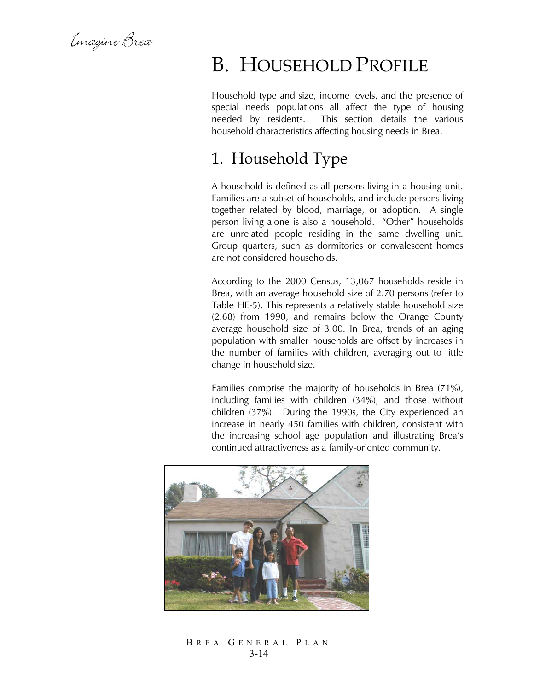Emagine Brea

## B. HOUSEHOLD PROFILE

Household type and size, income levels, and the presence of special needs populations all affect the type of housing needed by residents. This section details the various household characteristics affecting housing needs in Brea.

### 1. Household Type

A household is defined as all persons living in a housing unit. Families are a subset of households, and include persons living together related by blood, marriage, or adoption. A single person living alone is also a household. "Other" households are unrelated people residing in the same dwelling unit. Group quarters, such as dormitories or convalescent homes are not considered households.

According to the 2000 Census, 13,067 households reside in Brea, with an average household size of 2.70 persons (refer to Table HE-5). This represents a relatively stable household size (2.68) from 1990, and remains below the Orange County average household size of 3.00. In Brea, trends of an aging population with smaller households are offset by increases in the number of families with children, averaging out to little change in household size.

Families comprise the majority of households in Brea (71%), including families with children (34%), and those without children (37%). During the 1990s, the City experienced an increase in nearly 450 families with children, consistent with the increasing school age population and illustrating Brea's continued attractiveness as a family-oriented community.



B REA G ENERAL P LAN 3-14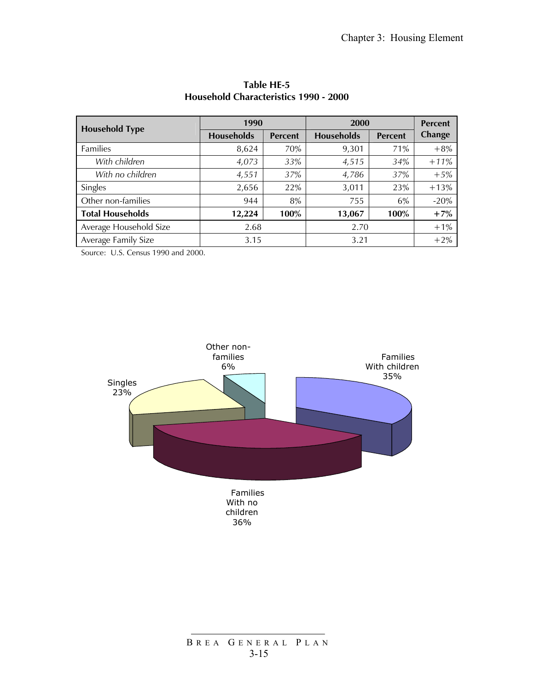| <b>Household Type</b>   | 1990              |                | 2000       | <b>Percent</b> |               |
|-------------------------|-------------------|----------------|------------|----------------|---------------|
|                         | <b>Households</b> | <b>Percent</b> | Households | <b>Percent</b> | <b>Change</b> |
| Families                | 8,624             | 70%            | 9,301      | 71%            | $+8%$         |
| With children           | 4,073             | 33%            | 4,515      | 34%            | $+11%$        |
| With no children        | 4,551             | 37%            | 4,786      | 37%            | $+5%$         |
| Singles                 | 2,656             | 22%            | 3,011      | 23%            | $+13%$        |
| Other non-families      | 944               | 8%             | 755        | 6%             | $-20%$        |
| <b>Total Households</b> | 12,224            | 100%           | 13,067     | 100%           | $+7%$         |
| Average Household Size  | 2.68              |                | 2.70       | $+1\%$         |               |
| Average Family Size     | 3.15              |                | 3.21       |                | $+2%$         |

**Table HE-5 Household Characteristics 1990 - 2000** 

Source: U.S. Census 1990 and 2000.

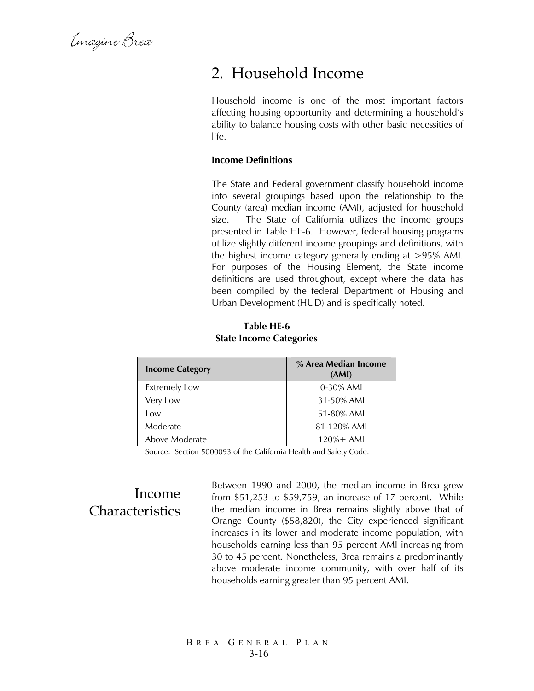Emagine Brea

### 2. Household Income

Household income is one of the most important factors affecting housing opportunity and determining a household's ability to balance housing costs with other basic necessities of life.

#### **Income Definitions**

The State and Federal government classify household income into several groupings based upon the relationship to the County (area) median income (AMI), adjusted for household size. The State of California utilizes the income groups presented in Table HE-6. However, federal housing programs utilize slightly different income groupings and definitions, with the highest income category generally ending at >95% AMI. For purposes of the Housing Element, the State income definitions are used throughout, except where the data has been compiled by the federal Department of Housing and Urban Development (HUD) and is specifically noted.

| <b>Table HE-6</b>              |
|--------------------------------|
| <b>State Income Categories</b> |

| <b>Income Category</b> | % Area Median Income<br>(AMI) |
|------------------------|-------------------------------|
| <b>Extremely Low</b>   | 0-30% AMI                     |
| Very Low               | 31-50% AMI                    |
| Low                    | 51-80% AMI                    |
| Moderate               | 81-120% AMI                   |
| Above Moderate         | $120% + AMI$                  |

Source: Section 5000093 of the California Health and Safety Code.

### Income **Characteristics**

Between 1990 and 2000, the median income in Brea grew from \$51,253 to \$59,759, an increase of 17 percent. While the median income in Brea remains slightly above that of Orange County (\$58,820), the City experienced significant increases in its lower and moderate income population, with households earning less than 95 percent AMI increasing from 30 to 45 percent. Nonetheless, Brea remains a predominantly above moderate income community, with over half of its households earning greater than 95 percent AMI.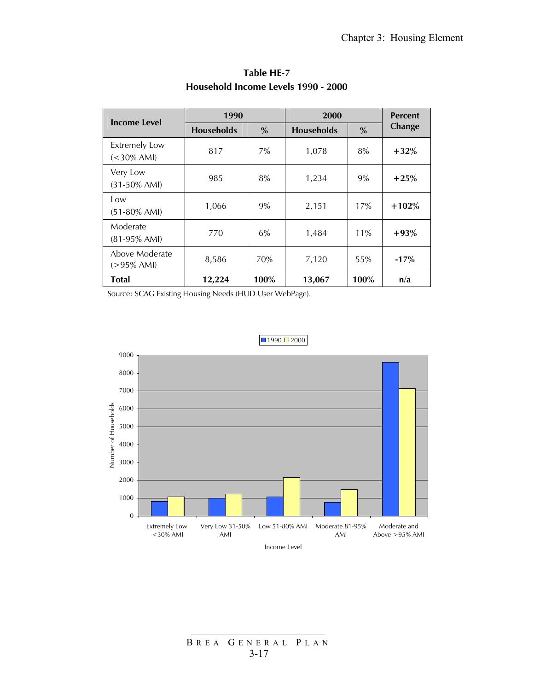| <b>Income Level</b>                   | 1990              |      | 2000              |               | <b>Percent</b> |
|---------------------------------------|-------------------|------|-------------------|---------------|----------------|
|                                       | <b>Households</b> | $\%$ | <b>Households</b> | $\frac{0}{0}$ | Change         |
| <b>Extremely Low</b><br>$(<30\%$ AMI) | 817               | 7%   | 1,078             | 8%            | $+32%$         |
| Very Low<br>$(31-50\% \text{ AMI})$   | 985               | 8%   | 1,234             | 9%            | $+25%$         |
| Low<br>$(51-80\% \text{ AMI})$        | 1,066             | 9%   | 2,151             | 17%           | $+102%$        |
| Moderate<br>$(81-95\%$ AMI)           | 770               | 6%   | 1,484             | 11%           | $+93%$         |
| Above Moderate<br>$(>95\%$ AMI)       | 8,586             | 70%  | 7,120             | 55%           | $-17%$         |
| Total                                 | 12,224            | 100% | 13,067            | 100%          | n/a            |

### **Table HE-7 Household Income Levels 1990 - 2000**

Source: SCAG Existing Housing Needs (HUD User WebPage).



#### $1990$  2000

B REA G ENERAL P LAN 3-17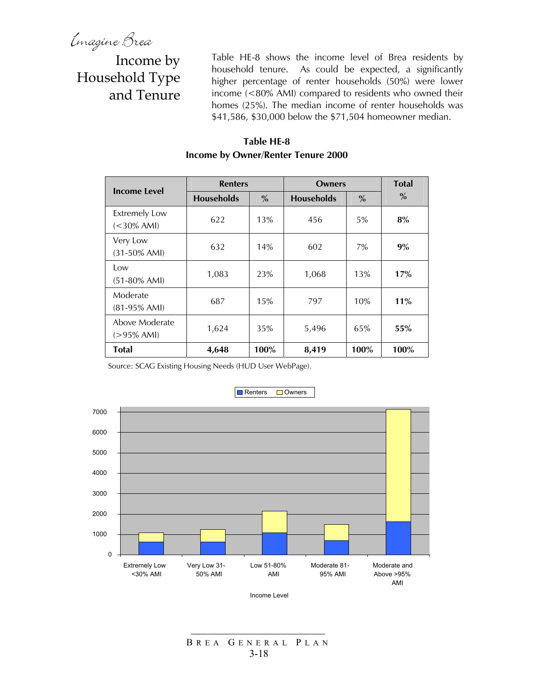Imagine Brea<br>Income by Household Type and Tenure

Table HE-8 shows the income level of Brea residents by household tenure. As could be expected, a significantly higher percentage of renter households (50%) were lower income (<80% AMI) compared to residents who owned their homes (25%). The median income of renter households was \$41,586, \$30,000 below the \$71,504 homeowner median.

### **Table HE-8 Income by Owner/Renter Tenure 2000**

| <b>Income Level</b>                   | <b>Renters</b>    |               | <b>Owners</b>     |               | <b>Total</b> |
|---------------------------------------|-------------------|---------------|-------------------|---------------|--------------|
|                                       | <b>Households</b> | $\frac{0}{0}$ | <b>Households</b> | $\frac{0}{0}$ | $\%$         |
| <b>Extremely Low</b><br>$(<30\%$ AMI) | 622               | 13%           | 456               | 5%            | 8%           |
| Very Low<br>$(31-50\% \text{ AMI})$   | 632               | 14%           | 602               | 7%            | 9%           |
| Low<br>$(51-80\% \text{ AMI})$        | 1,083             | 23%           | 1,068             | 13%           | 17%          |
| Moderate<br>$(81-95\% \text{ AMI})$   | 687               | 15%           | 797               | 10%           | 11%          |
| Above Moderate<br>$(>95\%$ AMI)       | 1,624             | 35%           | 5,496             | 65%           | 55%          |
| <b>Total</b>                          | 4,648             | 100%          | 8,419             | 100%          | 100%         |

Source: SCAG Existing Housing Needs (HUD User WebPage).



Renters Owners

Income Level

#### B REA G ENERAL P LAN 3-18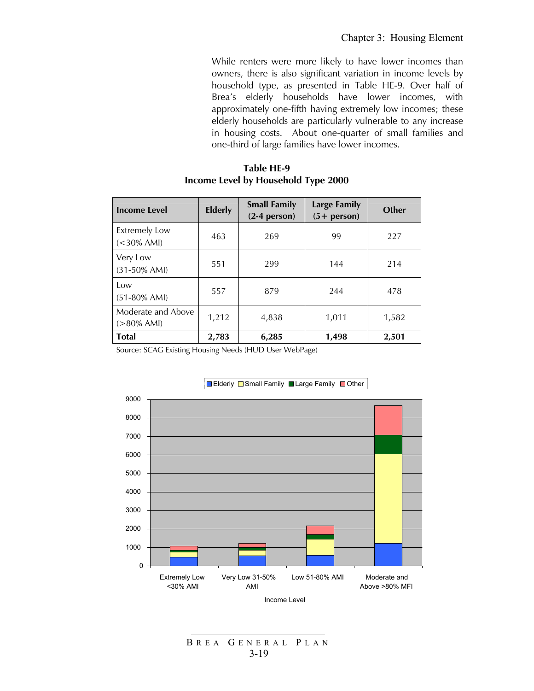While renters were more likely to have lower incomes than owners, there is also significant variation in income levels by household type, as presented in Table HE-9. Over half of Brea's elderly households have lower incomes, with approximately one-fifth having extremely low incomes; these elderly households are particularly vulnerable to any increase in housing costs. About one-quarter of small families and one-third of large families have lower incomes.

#### **Table HE-9 Income Level by Household Type 2000**

| <b>Income Level</b>                    | <b>Elderly</b> | <b>Small Family</b><br>$(2-4$ person) | <b>Large Family</b><br>$(5 + person)$ | <b>Other</b> |
|----------------------------------------|----------------|---------------------------------------|---------------------------------------|--------------|
| <b>Extremely Low</b><br>$(< 30\%$ AMI) | 463            | 269                                   | 99                                    | 227          |
| Very Low<br>$(31-50\% \text{ AMI})$    | 551            | 299                                   | 144                                   | 214          |
| Low<br>$(51-80\%$ AMI)                 | 557            | 879                                   | 244                                   | 478          |
| Moderate and Above<br>$(>80\%$ AMI)    | 1,212          | 4,838                                 | 1,011                                 | 1,582        |
| <b>Total</b>                           | 2,783          | 6,285                                 | 1,498                                 | 2,501        |

Source: SCAG Existing Housing Needs (HUD User WebPage)



B REA G ENERAL P LAN 3-19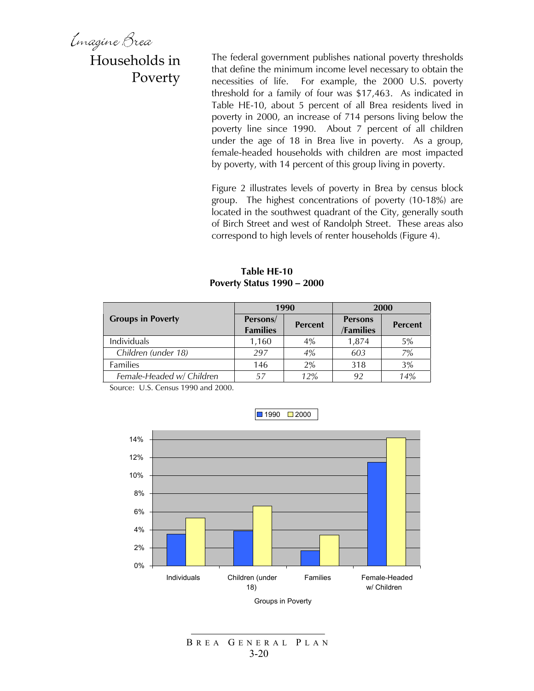Emagine Brea

### Households in Poverty

The federal government publishes national poverty thresholds that define the minimum income level necessary to obtain the necessities of life. For example, the 2000 U.S. poverty threshold for a family of four was \$17,463. As indicated in Table HE-10, about 5 percent of all Brea residents lived in poverty in 2000, an increase of 714 persons living below the poverty line since 1990. About 7 percent of all children under the age of 18 in Brea live in poverty. As a group, female-headed households with children are most impacted by poverty, with 14 percent of this group living in poverty.

Figure 2 illustrates levels of poverty in Brea by census block group. The highest concentrations of poverty (10-18%) are located in the southwest quadrant of the City, generally south of Birch Street and west of Randolph Street. These areas also correspond to high levels of renter households (Figure 4).

**Table HE-10 Poverty Status 1990 – 2000** 

|                           |                             | 1990           | 2000                        |                |  |
|---------------------------|-----------------------------|----------------|-----------------------------|----------------|--|
| <b>Groups in Poverty</b>  | Persons/<br><b>Families</b> | <b>Percent</b> | <b>Persons</b><br>/Families | <b>Percent</b> |  |
| Individuals               | 1,160                       | 4%             | 1,874                       | 5%             |  |
| Children (under 18)       | 297                         | 4%             | 603                         | 7%             |  |
| <b>Families</b>           | 146                         | 2%             | 318                         | 3%             |  |
| Female-Headed w/ Children | 57                          | 12%            | 92                          | 14%            |  |

Source: U.S. Census 1990 and 2000.



 $1990$  2000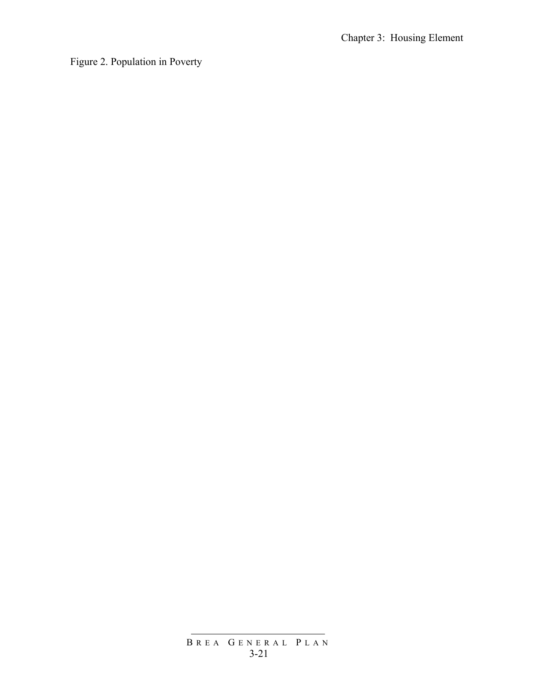Figure 2. Population in Poverty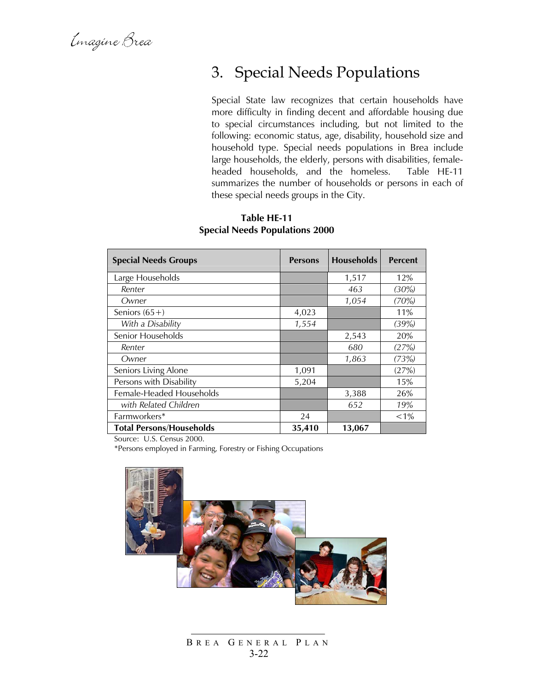### 3. Special Needs Populations

Special State law recognizes that certain households have more difficulty in finding decent and affordable housing due to special circumstances including, but not limited to the following: economic status, age, disability, household size and household type. Special needs populations in Brea include large households, the elderly, persons with disabilities, femaleheaded households, and the homeless. Table HE-11 summarizes the number of households or persons in each of these special needs groups in the City.

#### **Table HE-11 Special Needs Populations 2000**

| <b>Special Needs Groups</b>     | <b>Persons</b> | <b>Households</b> | <b>Percent</b> |
|---------------------------------|----------------|-------------------|----------------|
| Large Households                |                | 1,517             | 12%            |
| Renter                          |                | 463               | (30%)          |
| Owner                           |                | 1,054             | (70%)          |
| Seniors $(65+)$                 | 4,023          |                   | 11%            |
| With a Disability               | 1,554          |                   | (39%)          |
| Senior Households               |                | 2,543             | 20%            |
| Renter                          |                | 680               | (27%)          |
| Owner                           |                | 1,863             | (73%)          |
| Seniors Living Alone            | 1,091          |                   | (27%)          |
| Persons with Disability         | 5,204          |                   | 15%            |
| Female-Headed Households        |                | 3,388             | 26%            |
| with Related Children           |                | 652               | 19%            |
| Farmworkers*                    | 24             |                   | $< 1\%$        |
| <b>Total Persons/Households</b> | 35,410         | 13,067            |                |

Source: U.S. Census 2000.

\*Persons employed in Farming, Forestry or Fishing Occupations



B REA G ENERAL P LAN 3-22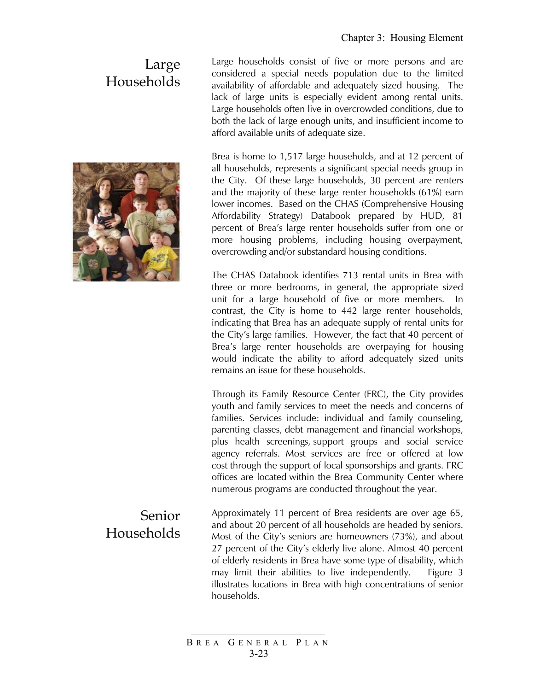### Large Households



Large households consist of five or more persons and are considered a special needs population due to the limited availability of affordable and adequately sized housing. The lack of large units is especially evident among rental units. Large households often live in overcrowded conditions, due to both the lack of large enough units, and insufficient income to afford available units of adequate size.

Brea is home to 1,517 large households, and at 12 percent of all households, represents a significant special needs group in the City. Of these large households, 30 percent are renters and the majority of these large renter households (61%) earn lower incomes. Based on the CHAS (Comprehensive Housing Affordability Strategy) Databook prepared by HUD, 81 percent of Brea's large renter households suffer from one or more housing problems, including housing overpayment, overcrowding and/or substandard housing conditions.

The CHAS Databook identifies 713 rental units in Brea with three or more bedrooms, in general, the appropriate sized unit for a large household of five or more members. In contrast, the City is home to 442 large renter households, indicating that Brea has an adequate supply of rental units for the City's large families. However, the fact that 40 percent of Brea's large renter households are overpaying for housing would indicate the ability to afford adequately sized units remains an issue for these households.

Through its Family Resource Center (FRC), the City provides youth and family services to meet the needs and concerns of families. Services include: individual and family counseling, parenting classes, debt management and financial workshops, plus health screenings, support groups and social service agency referrals. Most services are free or offered at low cost through the support of local sponsorships and grants. FRC offices are located within the Brea Community Center where numerous programs are conducted throughout the year.

Approximately 11 percent of Brea residents are over age 65, and about 20 percent of all households are headed by seniors. Most of the City's seniors are homeowners (73%), and about 27 percent of the City's elderly live alone. Almost 40 percent of elderly residents in Brea have some type of disability, which may limit their abilities to live independently. Figure 3 illustrates locations in Brea with high concentrations of senior households.

# Households

Senior

B REA G ENERAL P LAN 3-23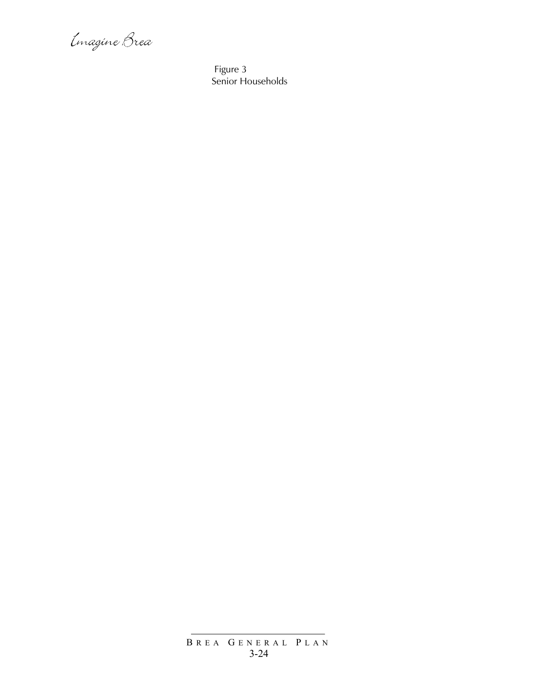Imagine Brea

 Figure 3 Senior Households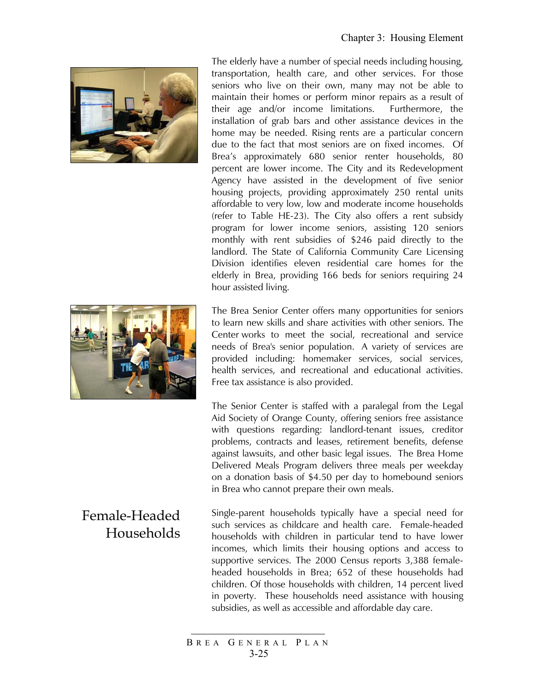

The elderly have a number of special needs including housing, transportation, health care, and other services. For those seniors who live on their own, many may not be able to maintain their homes or perform minor repairs as a result of their age and/or income limitations. Furthermore, the installation of grab bars and other assistance devices in the home may be needed. Rising rents are a particular concern due to the fact that most seniors are on fixed incomes. Of Brea's approximately 680 senior renter households, 80 percent are lower income. The City and its Redevelopment Agency have assisted in the development of five senior housing projects, providing approximately 250 rental units affordable to very low, low and moderate income households (refer to Table HE-23). The City also offers a rent subsidy program for lower income seniors, assisting 120 seniors monthly with rent subsidies of \$246 paid directly to the landlord. The State of California Community Care Licensing Division identifies eleven residential care homes for the elderly in Brea, providing 166 beds for seniors requiring 24 hour assisted living.

The Brea Senior Center offers many opportunities for seniors to learn new skills and share activities with other seniors. The Center works to meet the social, recreational and service needs of Brea's senior population. A variety of services are provided including: homemaker services, social services, health services, and recreational and educational activities. Free tax assistance is also provided.

The Senior Center is staffed with a paralegal from the Legal Aid Society of Orange County, offering seniors free assistance with questions regarding: landlord-tenant issues, creditor problems, contracts and leases, retirement benefits, defense against lawsuits, and other basic legal issues. The Brea Home Delivered Meals Program delivers three meals per weekday on a donation basis of \$4.50 per day to homebound seniors in Brea who cannot prepare their own meals.

Single-parent households typically have a special need for such services as childcare and health care. Female-headed households with children in particular tend to have lower incomes, which limits their housing options and access to supportive services. The 2000 Census reports 3,388 femaleheaded households in Brea; 652 of these households had children. Of those households with children, 14 percent lived in poverty. These households need assistance with housing subsidies, as well as accessible and affordable day care.

### Female-Headed Households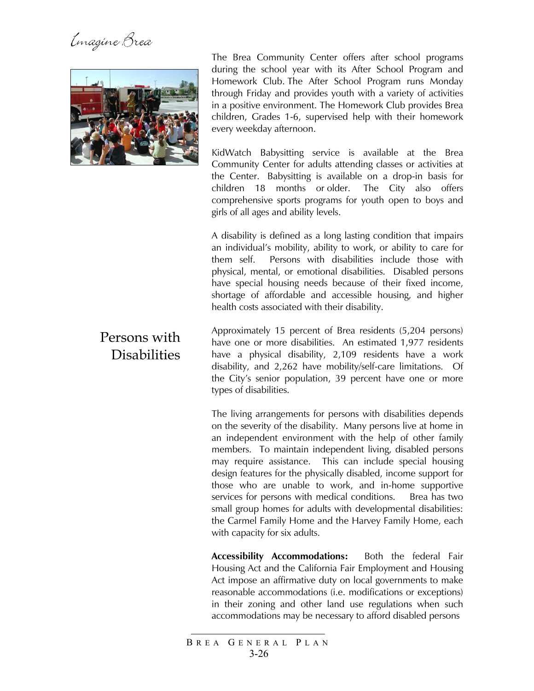Emagine Brea



The Brea Community Center offers after school programs during the school year with its After School Program and Homework Club. The After School Program runs Monday through Friday and provides youth with a variety of activities in a positive environment. The Homework Club provides Brea children, Grades 1-6, supervised help with their homework every weekday afternoon.

KidWatch Babysitting service is available at the Brea Community Center for adults attending classes or activities at the Center. Babysitting is available on a drop-in basis for children 18 months or older. The City also offers comprehensive sports programs for youth open to boys and girls of all ages and ability levels.

A disability is defined as a long lasting condition that impairs an individual's mobility, ability to work, or ability to care for them self. Persons with disabilities include those with physical, mental, or emotional disabilities. Disabled persons have special housing needs because of their fixed income, shortage of affordable and accessible housing, and higher health costs associated with their disability.

Approximately 15 percent of Brea residents (5,204 persons) have one or more disabilities. An estimated 1,977 residents have a physical disability, 2,109 residents have a work disability, and 2,262 have mobility/self-care limitations. Of the City's senior population, 39 percent have one or more types of disabilities.

The living arrangements for persons with disabilities depends on the severity of the disability. Many persons live at home in an independent environment with the help of other family members. To maintain independent living, disabled persons may require assistance. This can include special housing design features for the physically disabled, income support for those who are unable to work, and in-home supportive services for persons with medical conditions. Brea has two small group homes for adults with developmental disabilities: the Carmel Family Home and the Harvey Family Home, each with capacity for six adults.

**Accessibility Accommodations:** Both the federal Fair Housing Act and the California Fair Employment and Housing Act impose an affirmative duty on local governments to make reasonable accommodations (i.e. modifications or exceptions) in their zoning and other land use regulations when such accommodations may be necessary to afford disabled persons

#### B REA G ENERAL P LAN 3-26

### Persons with **Disabilities**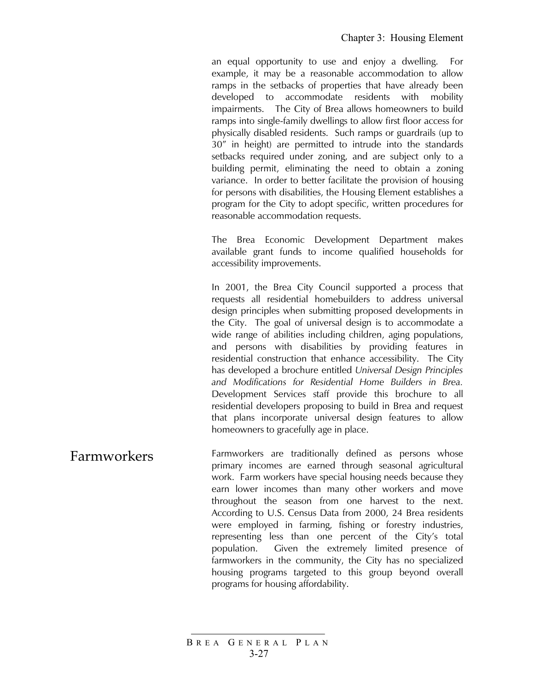an equal opportunity to use and enjoy a dwelling. For example, it may be a reasonable accommodation to allow ramps in the setbacks of properties that have already been developed to accommodate residents with mobility impairments. The City of Brea allows homeowners to build ramps into single-family dwellings to allow first floor access for physically disabled residents. Such ramps or guardrails (up to 30" in height) are permitted to intrude into the standards setbacks required under zoning, and are subject only to a building permit, eliminating the need to obtain a zoning variance. In order to better facilitate the provision of housing for persons with disabilities, the Housing Element establishes a program for the City to adopt specific, written procedures for reasonable accommodation requests.

The Brea Economic Development Department makes available grant funds to income qualified households for accessibility improvements.

In 2001, the Brea City Council supported a process that requests all residential homebuilders to address universal design principles when submitting proposed developments in the City. The goal of universal design is to accommodate a wide range of abilities including children, aging populations, and persons with disabilities by providing features in residential construction that enhance accessibility. The City has developed a brochure entitled *Universal Design Principles and Modifications for Residential Home Builders in Brea.*  Development Services staff provide this brochure to all residential developers proposing to build in Brea and request that plans incorporate universal design features to allow homeowners to gracefully age in place.

Farmworkers Farmworkers are traditionally defined as persons whose primary incomes are earned through seasonal agricultural work. Farm workers have special housing needs because they earn lower incomes than many other workers and move throughout the season from one harvest to the next. According to U.S. Census Data from 2000, 24 Brea residents were employed in farming, fishing or forestry industries, representing less than one percent of the City's total population. Given the extremely limited presence of farmworkers in the community, the City has no specialized housing programs targeted to this group beyond overall programs for housing affordability.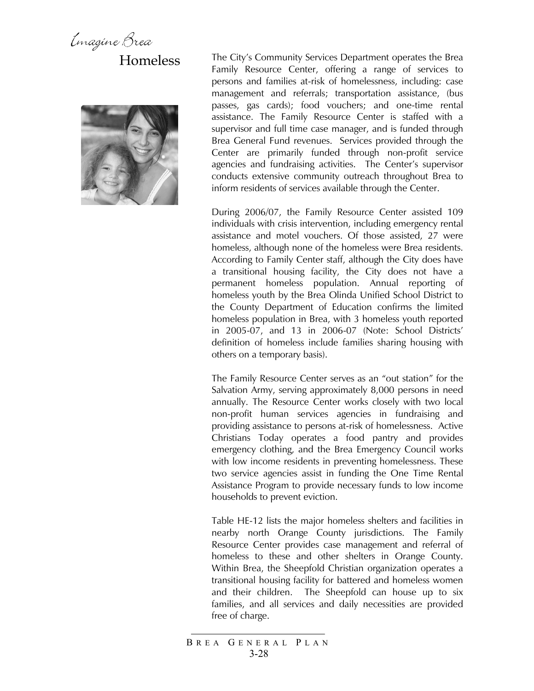Emagine Brea Homeless



The City's Community Services Department operates the Brea Family Resource Center, offering a range of services to persons and families at-risk of homelessness, including: case management and referrals; transportation assistance, (bus passes, gas cards); food vouchers; and one-time rental assistance. The Family Resource Center is staffed with a supervisor and full time case manager, and is funded through Brea General Fund revenues. Services provided through the Center are primarily funded through non-profit service agencies and fundraising activities. The Center's supervisor conducts extensive community outreach throughout Brea to inform residents of services available through the Center.

During 2006/07, the Family Resource Center assisted 109 individuals with crisis intervention, including emergency rental assistance and motel vouchers. Of those assisted, 27 were homeless, although none of the homeless were Brea residents. According to Family Center staff, although the City does have a transitional housing facility, the City does not have a permanent homeless population. Annual reporting of homeless youth by the Brea Olinda Unified School District to the County Department of Education confirms the limited homeless population in Brea, with 3 homeless youth reported in 2005-07, and 13 in 2006-07 (Note: School Districts' definition of homeless include families sharing housing with others on a temporary basis).

The Family Resource Center serves as an "out station" for the Salvation Army, serving approximately 8,000 persons in need annually. The Resource Center works closely with two local non-profit human services agencies in fundraising and providing assistance to persons at-risk of homelessness. Active Christians Today operates a food pantry and provides emergency clothing, and the Brea Emergency Council works with low income residents in preventing homelessness. These two service agencies assist in funding the One Time Rental Assistance Program to provide necessary funds to low income households to prevent eviction.

Table HE-12 lists the major homeless shelters and facilities in nearby north Orange County jurisdictions. The Family Resource Center provides case management and referral of homeless to these and other shelters in Orange County. Within Brea, the Sheepfold Christian organization operates a transitional housing facility for battered and homeless women and their children. The Sheepfold can house up to six families, and all services and daily necessities are provided free of charge.

B REA G ENERAL P LAN 3-28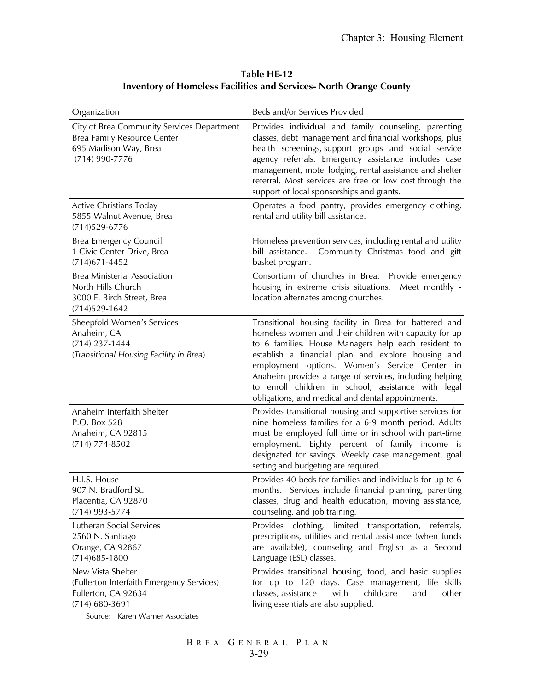| Table HE-12                                                               |
|---------------------------------------------------------------------------|
| <b>Inventory of Homeless Facilities and Services- North Orange County</b> |

| Organization                                                                                                         | Beds and/or Services Provided                                                                                                                                                                                                                                                                                                                                                                                                                         |
|----------------------------------------------------------------------------------------------------------------------|-------------------------------------------------------------------------------------------------------------------------------------------------------------------------------------------------------------------------------------------------------------------------------------------------------------------------------------------------------------------------------------------------------------------------------------------------------|
| City of Brea Community Services Department<br>Brea Family Resource Center<br>695 Madison Way, Brea<br>(714) 990-7776 | Provides individual and family counseling, parenting<br>classes, debt management and financial workshops, plus<br>health screenings, support groups and social service<br>agency referrals. Emergency assistance includes case<br>management, motel lodging, rental assistance and shelter<br>referral. Most services are free or low cost through the<br>support of local sponsorships and grants.                                                   |
| Active Christians Today<br>5855 Walnut Avenue, Brea<br>$(714)529 - 6776$                                             | Operates a food pantry, provides emergency clothing,<br>rental and utility bill assistance.                                                                                                                                                                                                                                                                                                                                                           |
| <b>Brea Emergency Council</b><br>1 Civic Center Drive, Brea<br>$(714)671 - 4452$                                     | Homeless prevention services, including rental and utility<br>Community Christmas food and gift<br>bill assistance.<br>basket program.                                                                                                                                                                                                                                                                                                                |
| <b>Brea Ministerial Association</b><br>North Hills Church<br>3000 E. Birch Street, Brea<br>$(714)529-1642$           | Consortium of churches in Brea. Provide emergency<br>housing in extreme crisis situations.<br>Meet monthly -<br>location alternates among churches.                                                                                                                                                                                                                                                                                                   |
| Sheepfold Women's Services<br>Anaheim, CA<br>$(714)$ 237-1444<br>(Transitional Housing Facility in Brea)             | Transitional housing facility in Brea for battered and<br>homeless women and their children with capacity for up<br>to 6 families. House Managers help each resident to<br>establish a financial plan and explore housing and<br>employment options. Women's Service Center in<br>Anaheim provides a range of services, including helping<br>to enroll children in school, assistance with legal<br>obligations, and medical and dental appointments. |
| Anaheim Interfaith Shelter<br>P.O. Box 528<br>Anaheim, CA 92815<br>$(714) 774 - 8502$                                | Provides transitional housing and supportive services for<br>nine homeless families for a 6-9 month period. Adults<br>must be employed full time or in school with part-time<br>employment. Eighty percent of family income is<br>designated for savings. Weekly case management, goal<br>setting and budgeting are required.                                                                                                                         |
| H.I.S. House<br>907 N. Bradford St.<br>Placentia, CA 92870<br>$(714)$ 993-5774                                       | Provides 40 beds for families and individuals for up to 6<br>months. Services include financial planning, parenting<br>classes, drug and health education, moving assistance,<br>counseling, and job training.                                                                                                                                                                                                                                        |
| Lutheran Social Services<br>2560 N. Santiago<br>Orange, CA 92867<br>$(714)685 - 1800$                                | limited transportation,<br>Provides clothing,<br>referrals,<br>prescriptions, utilities and rental assistance (when funds<br>are available), counseling and English as a Second<br>Language (ESL) classes.                                                                                                                                                                                                                                            |
| New Vista Shelter<br>(Fullerton Interfaith Emergency Services)<br>Fullerton, CA 92634<br>$(714) 680 - 3691$          | Provides transitional housing, food, and basic supplies<br>for up to 120 days. Case management, life skills<br>childcare<br>classes, assistance<br>with<br>other<br>and<br>living essentials are also supplied.                                                                                                                                                                                                                                       |

Source: Karen Warner Associates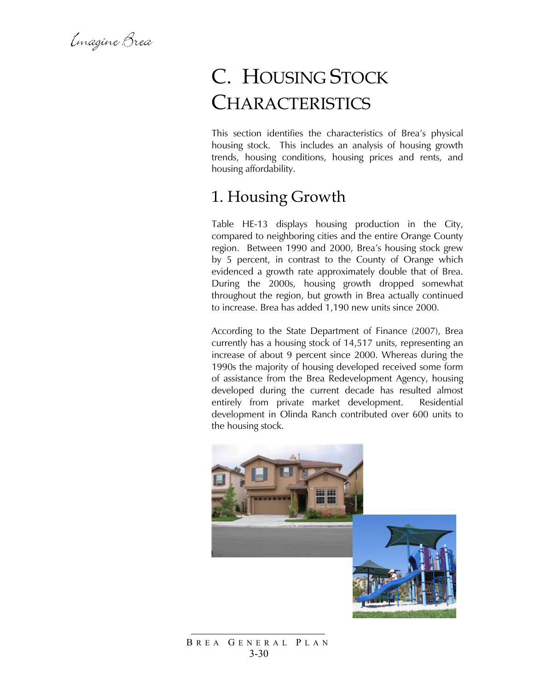Emagine Brea

# C. HOUSING STOCK **CHARACTERISTICS**

This section identifies the characteristics of Brea's physical housing stock. This includes an analysis of housing growth trends, housing conditions, housing prices and rents, and housing affordability.

### 1. Housing Growth

Table HE-13 displays housing production in the City, compared to neighboring cities and the entire Orange County region. Between 1990 and 2000, Brea's housing stock grew by 5 percent, in contrast to the County of Orange which evidenced a growth rate approximately double that of Brea. During the 2000s, housing growth dropped somewhat throughout the region, but growth in Brea actually continued to increase. Brea has added 1,190 new units since 2000.

According to the State Department of Finance (2007), Brea currently has a housing stock of 14,517 units, representing an increase of about 9 percent since 2000. Whereas during the 1990s the majority of housing developed received some form of assistance from the Brea Redevelopment Agency, housing developed during the current decade has resulted almost entirely from private market development. Residential development in Olinda Ranch contributed over 600 units to the housing stock.



B REA G ENERAL P LAN 3-30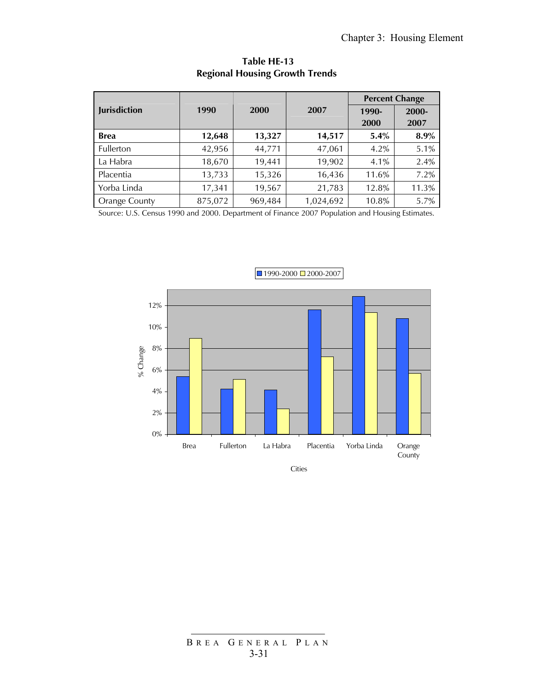|                      |         |         |           | <b>Percent Change</b> |       |  |
|----------------------|---------|---------|-----------|-----------------------|-------|--|
| <b>Jurisdiction</b>  | 1990    | 2000    | 2007      | 1990-                 | 2000- |  |
|                      |         |         |           | 2000                  | 2007  |  |
| <b>Brea</b>          | 12,648  | 13,327  | 14,517    | 5.4%                  | 8.9%  |  |
| Fullerton            | 42,956  | 44,771  | 47,061    | 4.2%                  | 5.1%  |  |
| La Habra             | 18,670  | 19,441  | 19,902    | 4.1%                  | 2.4%  |  |
| Placentia            | 13,733  | 15,326  | 16,436    | 11.6%                 | 7.2%  |  |
| Yorba Linda          | 17,341  | 19,567  | 21,783    | 12.8%                 | 11.3% |  |
| <b>Orange County</b> | 875,072 | 969,484 | 1,024,692 | 10.8%                 | 5.7%  |  |

**Table HE-13 Regional Housing Growth Trends** 

Source: U.S. Census 1990 and 2000. Department of Finance 2007 Population and Housing Estimates.



Cities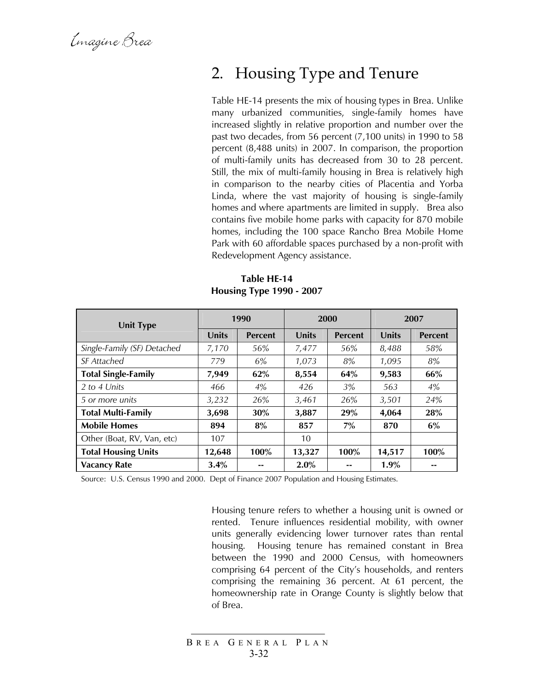Emagine Brea

### 2. Housing Type and Tenure

Table HE-14 presents the mix of housing types in Brea. Unlike many urbanized communities, single-family homes have increased slightly in relative proportion and number over the past two decades, from 56 percent (7,100 units) in 1990 to 58 percent (8,488 units) in 2007. In comparison, the proportion of multi-family units has decreased from 30 to 28 percent. Still, the mix of multi-family housing in Brea is relatively high in comparison to the nearby cities of Placentia and Yorba Linda, where the vast majority of housing is single-family homes and where apartments are limited in supply. Brea also contains five mobile home parks with capacity for 870 mobile homes, including the 100 space Rancho Brea Mobile Home Park with 60 affordable spaces purchased by a non-profit with Redevelopment Agency assistance.

| <b>Unit Type</b>            | 1990         |                |              | 2000           | 2007         |                |
|-----------------------------|--------------|----------------|--------------|----------------|--------------|----------------|
|                             | <b>Units</b> | <b>Percent</b> | <b>Units</b> | <b>Percent</b> | <b>Units</b> | <b>Percent</b> |
| Single-Family (SF) Detached | 7,170        | 56%            | 7,477        | 56%            | 8,488        | 58%            |
| <b>SF</b> Attached          | 779          | 6%             | 1,073        | 8%             | 1,095        | 8%             |
| <b>Total Single-Family</b>  | 7,949        | 62%            | 8,554        | 64%            | 9,583        | 66%            |
| 2 to 4 Units                | 466          | 4%             | 426          | 3%             | 563          | 4%             |
| 5 or more units             | 3,232        | 26%            | 3,461        | 26%            | 3,501        | 24%            |
| <b>Total Multi-Family</b>   | 3,698        | 30%            | 3.887        | 29%            | 4,064        | 28%            |
| <b>Mobile Homes</b>         | 894          | 8%             | 857          | 7%             | 870          | 6%             |
| Other (Boat, RV, Van, etc)  | 107          |                | 10           |                |              |                |
| <b>Total Housing Units</b>  | 12,648       | 100%           | 13,327       | 100%           | 14,517       | 100%           |
| <b>Vacancy Rate</b>         | 3.4%         | --             | $2.0\%$      |                | 1.9%         |                |

**Table HE-14 Housing Type 1990 - 2007** 

Source: U.S. Census 1990 and 2000. Dept of Finance 2007 Population and Housing Estimates.

Housing tenure refers to whether a housing unit is owned or rented. Tenure influences residential mobility, with owner units generally evidencing lower turnover rates than rental housing. Housing tenure has remained constant in Brea between the 1990 and 2000 Census, with homeowners comprising 64 percent of the City's households, and renters comprising the remaining 36 percent. At 61 percent, the homeownership rate in Orange County is slightly below that of Brea.

B REA G ENERAL P LAN 3-32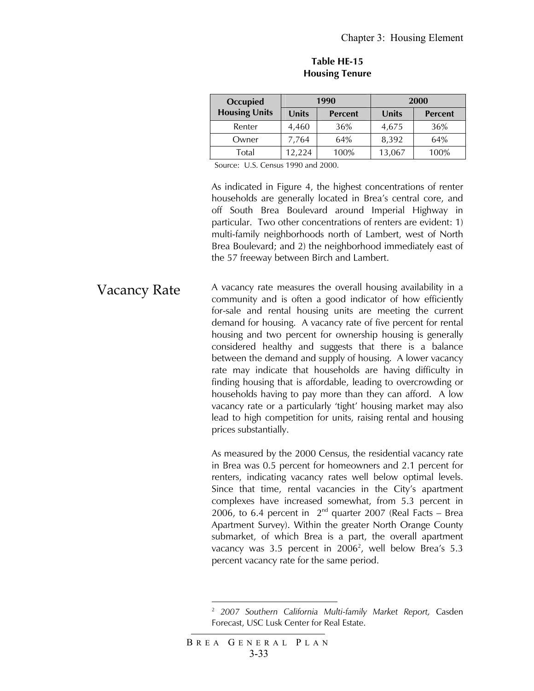| <b>Occupied</b>      |                         | 1990 | 2000   |                |  |  |
|----------------------|-------------------------|------|--------|----------------|--|--|
| <b>Housing Units</b> | Units<br><b>Percent</b> |      | Units  | <b>Percent</b> |  |  |
| Renter               | 4,460                   | 36%  | 4,675  | 36%            |  |  |
| Owner                | 7,764                   | 64%  | 8,392  | 64%            |  |  |
| Total                | 12.224                  | 100% | 13,067 | 100%           |  |  |

#### **Table HE-15 Housing Tenure**

Source: U.S. Census 1990 and 2000.

As indicated in Figure 4, the highest concentrations of renter households are generally located in Brea's central core, and off South Brea Boulevard around Imperial Highway in particular. Two other concentrations of renters are evident: 1) multi-family neighborhoods north of Lambert, west of North Brea Boulevard; and 2) the neighborhood immediately east of the 57 freeway between Birch and Lambert.

Vacancy Rate A vacancy rate measures the overall housing availability in a community and is often a good indicator of how efficiently for-sale and rental housing units are meeting the current demand for housing. A vacancy rate of five percent for rental housing and two percent for ownership housing is generally considered healthy and suggests that there is a balance between the demand and supply of housing. A lower vacancy rate may indicate that households are having difficulty in finding housing that is affordable, leading to overcrowding or households having to pay more than they can afford. A low vacancy rate or a particularly 'tight' housing market may also lead to high competition for units, raising rental and housing prices substantially.

> As measured by the 2000 Census, the residential vacancy rate in Brea was 0.5 percent for homeowners and 2.1 percent for renters, indicating vacancy rates well below optimal levels. Since that time, rental vacancies in the City's apartment complexes have increased somewhat, from 5.3 percent in 2006, to 6.4 percent in  $2^{nd}$  quarter 2007 (Real Facts – Brea Apartment Survey). Within the greater North Orange County submarket, of which Brea is a part, the overall apartment vacancy was 3.5 percent in  $2006^2$ , well below Brea's 5.3 percent vacancy rate for the same period.

1

<sup>2</sup> *2007 Southern California Multi-family Market Report,* Casden Forecast, USC Lusk Center for Real Estate.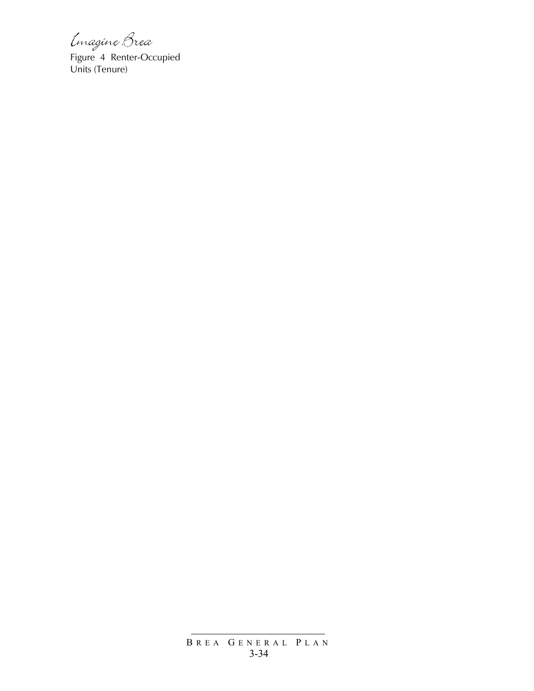Linagine Brea<br>Figure 4 Renter-Occupied Units (Tenure)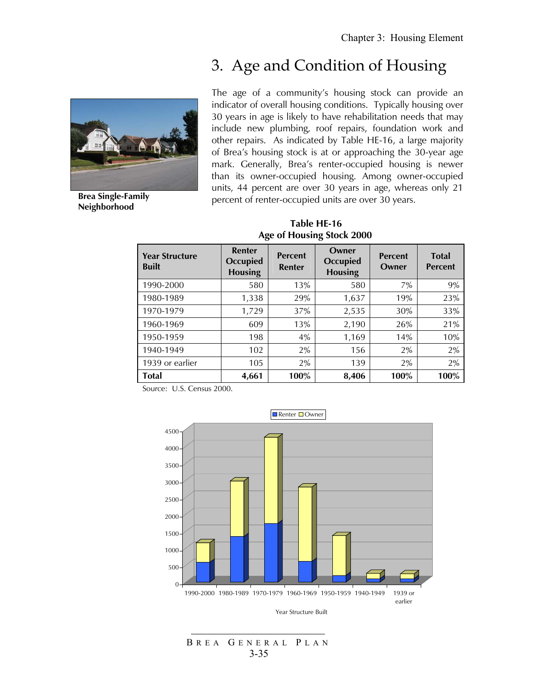### 3. Age and Condition of Housing



**Brea Single-Family Neighborhood** 

The age of a community's housing stock can provide an indicator of overall housing conditions. Typically housing over 30 years in age is likely to have rehabilitation needs that may include new plumbing, roof repairs, foundation work and other repairs. As indicated by Table HE-16, a large majority of Brea's housing stock is at or approaching the 30-year age mark. Generally, Brea's renter-occupied housing is newer than its owner-occupied housing. Among owner-occupied units, 44 percent are over 30 years in age, whereas only 21 percent of renter-occupied units are over 30 years.

 **Table HE-16 Age of Housing Stock 2000**

| <b>Year Structure</b><br><b>Built</b> | <b>Renter</b><br><b>Occupied</b><br><b>Housing</b> | <b>Percent</b><br><b>Renter</b> | Owner<br><b>Occupied</b><br><b>Housing</b> | <b>Percent</b><br>Owner | <b>Total</b><br><b>Percent</b> |
|---------------------------------------|----------------------------------------------------|---------------------------------|--------------------------------------------|-------------------------|--------------------------------|
| 1990-2000                             | 580                                                | 13%                             | 580                                        | 7%                      | 9%                             |
| 1980-1989                             | 1,338                                              | 29%                             | 1,637                                      | 19%                     | 23%                            |
| 1970-1979                             | 1,729                                              | 37%                             | 2,535                                      | 30%                     | 33%                            |
| 1960-1969                             | 609                                                | 13%                             | 2,190                                      | 26%                     | 21%                            |
| 1950-1959                             | 198                                                | 4%                              | 1,169                                      | 14%                     | 10%                            |
| 1940-1949                             | 102                                                | 2%                              | 156                                        | 2%                      | 2%                             |
| 1939 or earlier                       | 105                                                | 2%                              | 139                                        | 2%                      | 2%                             |
| <b>Total</b>                          | 4,661                                              | 100%                            | 8,406                                      | 100%                    | 100%                           |

Source: U.S. Census 2000.



B REA G ENERAL P LAN 3-35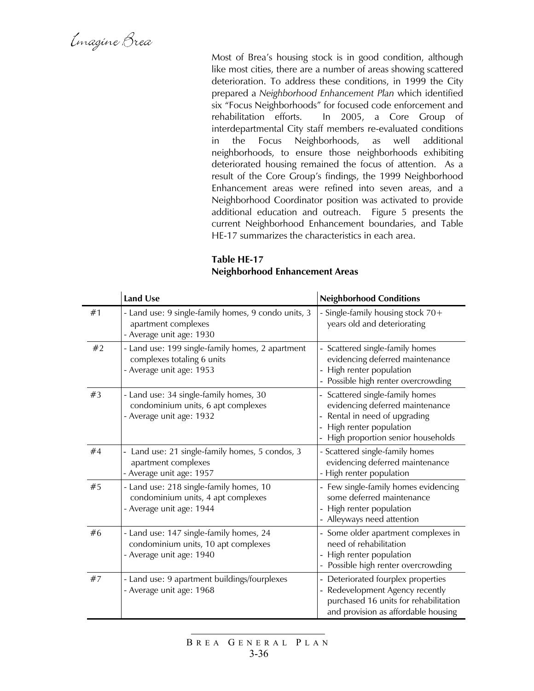Emagine Brea

Most of Brea's housing stock is in good condition, although like most cities, there are a number of areas showing scattered deterioration. To address these conditions, in 1999 the City prepared a *Neighborhood Enhancement Plan* which identified six "Focus Neighborhoods" for focused code enforcement and rehabilitation efforts. In 2005, a Core Group of interdepartmental City staff members re-evaluated conditions in the Focus Neighborhoods, as well additional neighborhoods, to ensure those neighborhoods exhibiting deteriorated housing remained the focus of attention. As a result of the Core Group's findings, the 1999 Neighborhood Enhancement areas were refined into seven areas, and a Neighborhood Coordinator position was activated to provide additional education and outreach. Figure 5 presents the current Neighborhood Enhancement boundaries, and Table HE-17 summarizes the characteristics in each area.

### **Table HE-17 Neighborhood Enhancement Areas**

|    | <b>Land Use</b>                                                                                            | <b>Neighborhood Conditions</b>                                                                                                                                   |
|----|------------------------------------------------------------------------------------------------------------|------------------------------------------------------------------------------------------------------------------------------------------------------------------|
| #1 | - Land use: 9 single-family homes, 9 condo units, 3<br>apartment complexes<br>- Average unit age: 1930     | - Single-family housing stock 70+<br>years old and deteriorating                                                                                                 |
| #2 | - Land use: 199 single-family homes, 2 apartment<br>complexes totaling 6 units<br>- Average unit age: 1953 | - Scattered single-family homes<br>evidencing deferred maintenance<br>High renter population<br>Possible high renter overcrowding                                |
| #3 | - Land use: 34 single-family homes, 30<br>condominium units, 6 apt complexes<br>- Average unit age: 1932   | - Scattered single-family homes<br>evidencing deferred maintenance<br>Rental in need of upgrading<br>High renter population<br>High proportion senior households |
| #4 | - Land use: 21 single-family homes, 5 condos, 3<br>apartment complexes<br>- Average unit age: 1957         | - Scattered single-family homes<br>evidencing deferred maintenance<br>- High renter population                                                                   |
| #5 | - Land use: 218 single-family homes, 10<br>condominium units, 4 apt complexes<br>- Average unit age: 1944  | - Few single-family homes evidencing<br>some deferred maintenance<br>High renter population<br>- Alleyways need attention                                        |
| #6 | - Land use: 147 single-family homes, 24<br>condominium units, 10 apt complexes<br>- Average unit age: 1940 | - Some older apartment complexes in<br>need of rehabilitation<br>High renter population<br>Possible high renter overcrowding                                     |
| #7 | - Land use: 9 apartment buildings/fourplexes<br>- Average unit age: 1968                                   | - Deteriorated fourplex properties<br>Redevelopment Agency recently<br>purchased 16 units for rehabilitation<br>and provision as affordable housing              |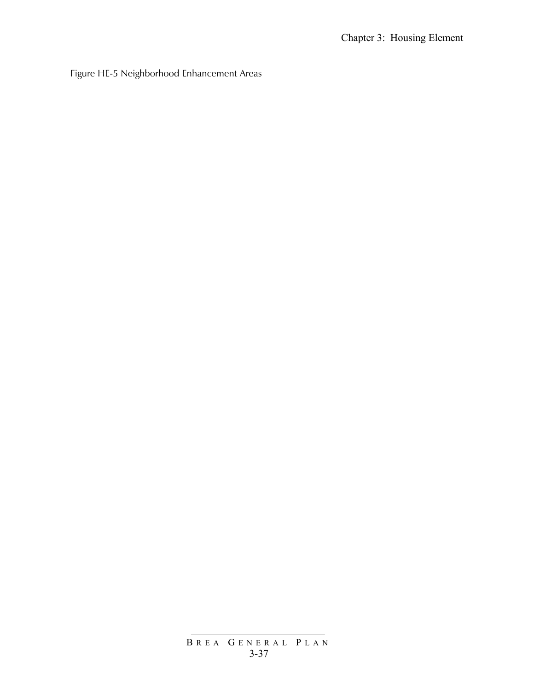Figure HE-5 Neighborhood Enhancement Areas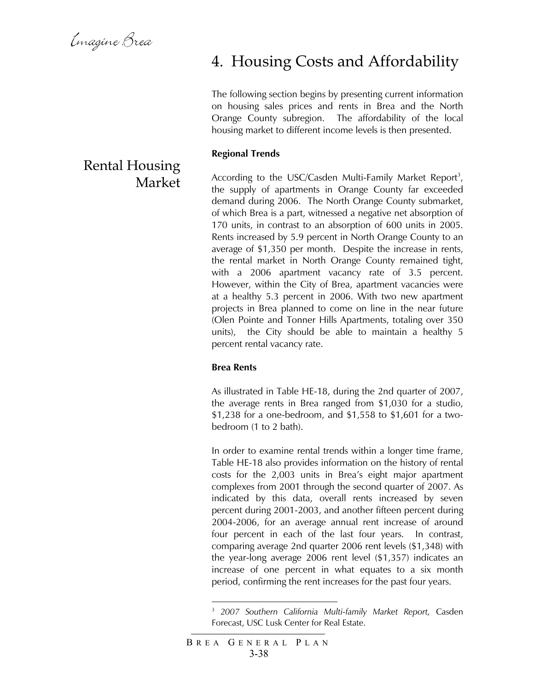Emagine Brea

### Rental Housing Market

### 4. Housing Costs and Affordability

The following section begins by presenting current information on housing sales prices and rents in Brea and the North Orange County subregion. The affordability of the local housing market to different income levels is then presented.

#### **Regional Trends**

According to the USC/Casden Multi-Family Market Report<sup>3</sup>, the supply of apartments in Orange County far exceeded demand during 2006. The North Orange County submarket, of which Brea is a part, witnessed a negative net absorption of 170 units, in contrast to an absorption of 600 units in 2005. Rents increased by 5.9 percent in North Orange County to an average of \$1,350 per month. Despite the increase in rents, the rental market in North Orange County remained tight, with a 2006 apartment vacancy rate of 3.5 percent. However, within the City of Brea, apartment vacancies were at a healthy 5.3 percent in 2006. With two new apartment projects in Brea planned to come on line in the near future (Olen Pointe and Tonner Hills Apartments, totaling over 350 units), the City should be able to maintain a healthy 5 percent rental vacancy rate.

#### **Brea Rents**

As illustrated in Table HE-18, during the 2nd quarter of 2007, the average rents in Brea ranged from \$1,030 for a studio, \$1,238 for a one-bedroom, and \$1,558 to \$1,601 for a twobedroom (1 to 2 bath).

In order to examine rental trends within a longer time frame, Table HE-18 also provides information on the history of rental costs for the 2,003 units in Brea's eight major apartment complexes from 2001 through the second quarter of 2007. As indicated by this data, overall rents increased by seven percent during 2001-2003, and another fifteen percent during 2004-2006, for an average annual rent increase of around four percent in each of the last four years. In contrast, comparing average 2nd quarter 2006 rent levels (\$1,348) with the year-long average 2006 rent level (\$1,357) indicates an increase of one percent in what equates to a six month period, confirming the rent increases for the past four years.

1

<sup>3</sup> *2007 Southern California Multi-family Market Report,* Casden Forecast, USC Lusk Center for Real Estate.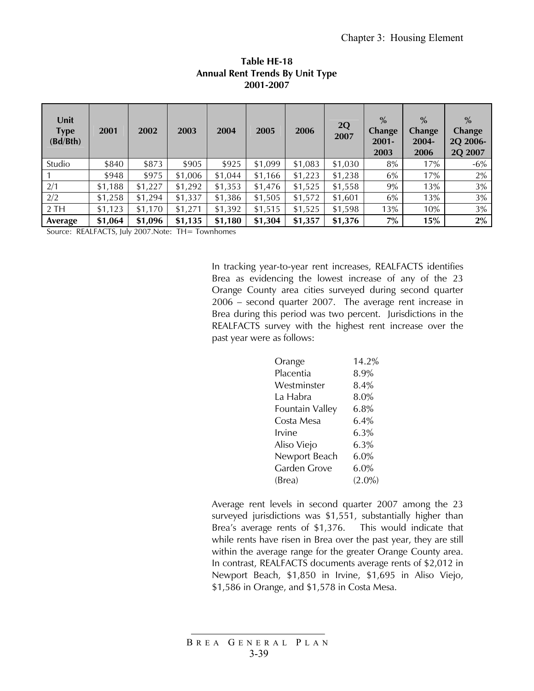| Unit<br><b>Type</b><br>(Bd/Bth) | 2001    | 2002    | 2003    | 2004    | 2005    | 2006    | 2Q<br>2007 | $\%$<br><b>Change</b><br>$2001 -$<br>2003 | $\%$<br><b>Change</b><br>$2004 -$<br>2006 | $\frac{0}{0}$<br><b>Change</b><br>2Q 2006-<br>2Q 2007 |
|---------------------------------|---------|---------|---------|---------|---------|---------|------------|-------------------------------------------|-------------------------------------------|-------------------------------------------------------|
| Studio                          | \$840   | \$873   | \$905   | \$925   | \$1,099 | \$1,083 | \$1,030    | 8%                                        | 17%                                       | $-6%$                                                 |
|                                 | \$948   | \$975   | \$1,006 | \$1,044 | \$1,166 | \$1,223 | \$1,238    | 6%                                        | 17%                                       | 2%                                                    |
| 2/1                             | \$1,188 | \$1,227 | \$1,292 | \$1,353 | \$1,476 | \$1,525 | \$1,558    | 9%                                        | 13%                                       | 3%                                                    |
| 2/2                             | \$1,258 | \$1,294 | \$1,337 | \$1,386 | \$1,505 | \$1,572 | \$1,601    | 6%                                        | 13%                                       | 3%                                                    |
| 2TH                             | \$1,123 | \$1,170 | \$1,271 | \$1,392 | \$1,515 | \$1,525 | \$1,598    | 13%                                       | 10%                                       | 3%                                                    |
| Average                         | \$1,064 | \$1,096 | \$1,135 | \$1,180 | \$1,304 | \$1,357 | \$1,376    | 7%                                        | 15%                                       | $2\%$                                                 |

#### **Table HE-18 Annual Rent Trends By Unit Type 2001-2007**

Source: REALFACTS, July 2007.Note: TH= Townhomes

In tracking year-to-year rent increases, REALFACTS identifies Brea as evidencing the lowest increase of any of the 23 Orange County area cities surveyed during second quarter 2006 – second quarter 2007. The average rent increase in Brea during this period was two percent. Jurisdictions in the REALFACTS survey with the highest rent increase over the past year were as follows:

| Orange          | 14.2%     |
|-----------------|-----------|
|                 |           |
| Placentia       | 8.9%      |
| Westminster     | 8.4%      |
| La Habra        | 8.0%      |
| Fountain Valley | 6.8%      |
| Costa Mesa      | 6.4%      |
| Irvine          | 6.3%      |
| Aliso Viejo     | 6.3%      |
| Newport Beach   | 6.0%      |
| Garden Grove    | 6.0%      |
| (Brea)          | $(2.0\%)$ |

Average rent levels in second quarter 2007 among the 23 surveyed jurisdictions was \$1,551, substantially higher than Brea's average rents of \$1,376. This would indicate that while rents have risen in Brea over the past year, they are still within the average range for the greater Orange County area. In contrast, REALFACTS documents average rents of \$2,012 in Newport Beach, \$1,850 in Irvine, \$1,695 in Aliso Viejo, \$1,586 in Orange, and \$1,578 in Costa Mesa.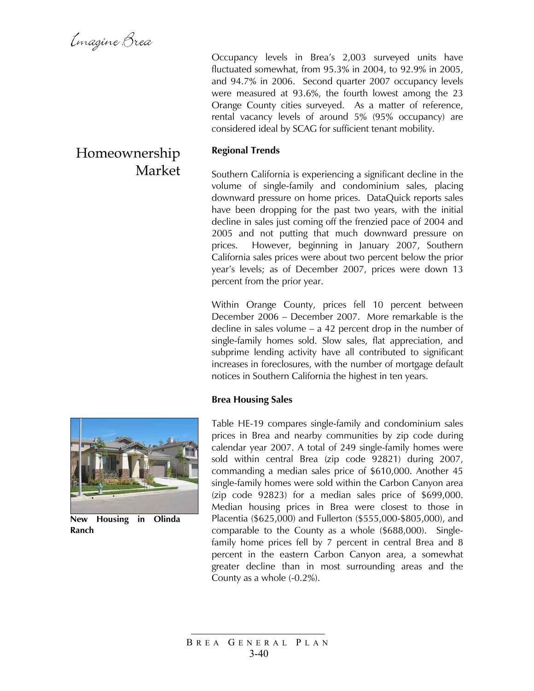### Homeownership Market

Occupancy levels in Brea's 2,003 surveyed units have fluctuated somewhat, from 95.3% in 2004, to 92.9% in 2005, and 94.7% in 2006. Second quarter 2007 occupancy levels were measured at 93.6%, the fourth lowest among the 23 Orange County cities surveyed. As a matter of reference, rental vacancy levels of around 5% (95% occupancy) are considered ideal by SCAG for sufficient tenant mobility.

### **Regional Trends**

Southern California is experiencing a significant decline in the volume of single-family and condominium sales, placing downward pressure on home prices. DataQuick reports sales have been dropping for the past two years, with the initial decline in sales just coming off the frenzied pace of 2004 and 2005 and not putting that much downward pressure on prices. However, beginning in January 2007, Southern California sales prices were about two percent below the prior year's levels; as of December 2007, prices were down 13 percent from the prior year.

Within Orange County, prices fell 10 percent between December 2006 – December 2007. More remarkable is the decline in sales volume – a 42 percent drop in the number of single-family homes sold. Slow sales, flat appreciation, and subprime lending activity have all contributed to significant increases in foreclosures, with the number of mortgage default notices in Southern California the highest in ten years.

#### **Brea Housing Sales**



**New Housing in Olinda Ranch** 

Table HE-19 compares single-family and condominium sales prices in Brea and nearby communities by zip code during calendar year 2007. A total of 249 single-family homes were sold within central Brea (zip code 92821) during 2007, commanding a median sales price of \$610,000. Another 45 single-family homes were sold within the Carbon Canyon area (zip code 92823) for a median sales price of \$699,000. Median housing prices in Brea were closest to those in Placentia (\$625,000) and Fullerton (\$555,000-\$805,000), and comparable to the County as a whole (\$688,000). Singlefamily home prices fell by 7 percent in central Brea and 8 percent in the eastern Carbon Canyon area, a somewhat greater decline than in most surrounding areas and the County as a whole (-0.2%).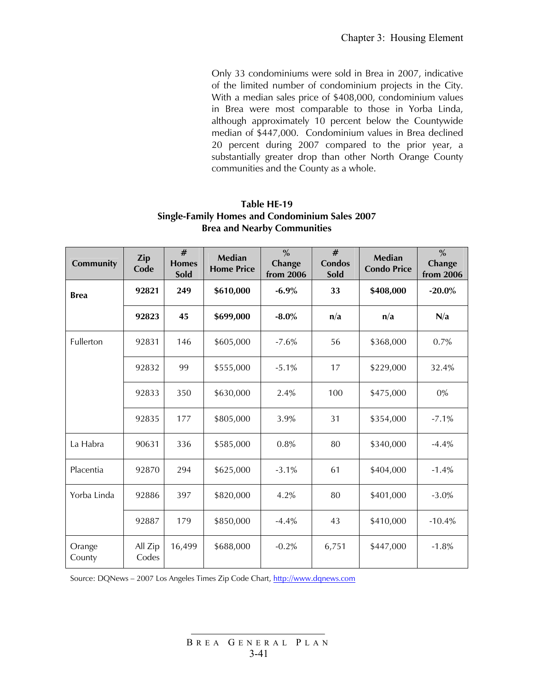Only 33 condominiums were sold in Brea in 2007, indicative of the limited number of condominium projects in the City. With a median sales price of \$408,000, condominium values in Brea were most comparable to those in Yorba Linda, although approximately 10 percent below the Countywide median of \$447,000. Condominium values in Brea declined 20 percent during 2007 compared to the prior year, a substantially greater drop than other North Orange County communities and the County as a whole.

#### **Table HE-19 Single-Family Homes and Condominium Sales 2007 Brea and Nearby Communities**

| Community        | <b>Zip</b><br>Code | #<br><b>Homes</b><br>Sold | <b>Median</b><br><b>Home Price</b> | $\frac{0}{0}$<br>Change<br>from 2006 | #<br><b>Condos</b><br>Sold | <b>Median</b><br><b>Condo Price</b> | $\frac{0}{0}$<br>Change<br>from 2006 |
|------------------|--------------------|---------------------------|------------------------------------|--------------------------------------|----------------------------|-------------------------------------|--------------------------------------|
| <b>Brea</b>      | 92821              | 249                       | \$610,000                          | $-6.9%$                              | 33                         | \$408,000                           | $-20.0\%$                            |
|                  | 92823              | 45                        | \$699,000                          | $-8.0\%$                             | n/a                        | n/a                                 | N/a                                  |
| Fullerton        | 92831              | 146                       | \$605,000                          | $-7.6%$                              | 56                         | \$368,000                           | 0.7%                                 |
|                  | 92832              | 99                        | \$555,000                          | $-5.1%$                              | 17                         | \$229,000                           | 32.4%                                |
|                  | 92833              | 350                       | \$630,000                          | 2.4%                                 | 100                        | \$475,000                           | 0%                                   |
|                  | 92835              | 177                       | \$805,000                          | 3.9%                                 | 31                         | \$354,000                           | $-7.1%$                              |
| La Habra         | 90631              | 336                       | \$585,000                          | 0.8%                                 | 80                         | \$340,000                           | $-4.4%$                              |
| Placentia        | 92870              | 294                       | \$625,000                          | $-3.1%$                              | 61                         | \$404,000                           | $-1.4%$                              |
| Yorba Linda      | 92886              | 397                       | \$820,000                          | 4.2%                                 | 80                         | \$401,000                           | $-3.0\%$                             |
|                  | 92887              | 179                       | \$850,000                          | $-4.4%$                              | 43                         | \$410,000                           | $-10.4%$                             |
| Orange<br>County | All Zip<br>Codes   | 16,499                    | \$688,000                          | $-0.2%$                              | 6,751                      | \$447,000                           | $-1.8%$                              |

Source: DQNews – 2007 Los Angeles Times Zip Code Chart, http://www.dqnews.com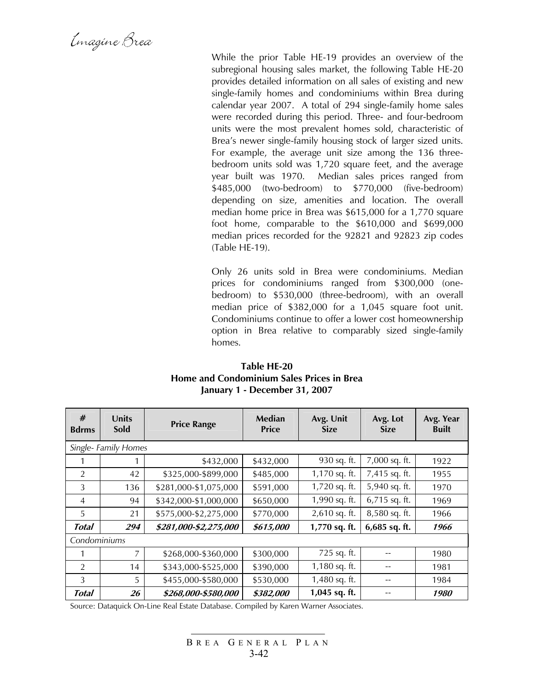Emagine Brea

While the prior Table HE-19 provides an overview of the subregional housing sales market, the following Table HE-20 provides detailed information on all sales of existing and new single-family homes and condominiums within Brea during calendar year 2007. A total of 294 single-family home sales were recorded during this period. Three- and four-bedroom units were the most prevalent homes sold, characteristic of Brea's newer single-family housing stock of larger sized units. For example, the average unit size among the 136 threebedroom units sold was 1,720 square feet, and the average year built was 1970. Median sales prices ranged from \$485,000 (two-bedroom) to \$770,000 (five-bedroom) depending on size, amenities and location. The overall median home price in Brea was \$615,000 for a 1,770 square foot home, comparable to the \$610,000 and \$699,000 median prices recorded for the 92821 and 92823 zip codes (Table HE-19).

Only 26 units sold in Brea were condominiums. Median prices for condominiums ranged from \$300,000 (onebedroom) to \$530,000 (three-bedroom), with an overall median price of \$382,000 for a 1,045 square foot unit. Condominiums continue to offer a lower cost homeownership option in Brea relative to comparably sized single-family homes.

| Table HE-20                                      |
|--------------------------------------------------|
| <b>Home and Condominium Sales Prices in Brea</b> |
| January 1 - December 31, 2007                    |

| #<br><b>Bdrms</b> | <b>Units</b><br>Sold | <b>Price Range</b>    | Median<br><b>Price</b> | Avg. Unit<br><b>Size</b> | Avg. Lot<br><b>Size</b> | Avg. Year<br><b>Built</b> |
|-------------------|----------------------|-----------------------|------------------------|--------------------------|-------------------------|---------------------------|
|                   | Single- Family Homes |                       |                        |                          |                         |                           |
|                   |                      | \$432,000             | \$432,000              | 930 sq. ft.              | 7,000 sq. ft.           | 1922                      |
| $\overline{2}$    | 42                   | \$325,000-\$899,000   | \$485,000              | 1,170 sq. ft.            | 7,415 sq. ft.           | 1955                      |
| 3                 | 136                  | \$281,000-\$1,075,000 | \$591,000              | 1,720 sq. ft.            | 5,940 sq. ft.           | 1970                      |
| $\overline{4}$    | 94                   | \$342,000-\$1,000,000 | \$650,000              | 1,990 sq. ft.            | 6,715 sq. ft.           | 1969                      |
| 5                 | 21                   | \$575,000-\$2,275,000 | \$770,000              | 2,610 sq. ft.            | 8,580 sq. ft.           | 1966                      |
| <b>Total</b>      | 294                  | \$281,000-\$2,275,000 | \$615,000              | 1,770 sq. ft.            | 6,685 sq. ft.           | 1966                      |
| Condominiums      |                      |                       |                        |                          |                         |                           |
|                   | 7                    | \$268,000-\$360,000   | \$300,000              | 725 sq. ft.              |                         | 1980                      |
| $\overline{2}$    | 14                   | \$343,000-\$525,000   | \$390,000              | 1,180 sq. ft.            |                         | 1981                      |
| 3                 | 5                    | \$455,000-\$580,000   | \$530,000              | 1,480 sq. ft.            |                         | 1984                      |
| Total             | 26                   | \$268,000-\$580,000   | \$382,000              | 1,045 sq. ft.            |                         | 1980                      |

Source: Dataquick On-Line Real Estate Database. Compiled by Karen Warner Associates.

B REA G ENERAL P LAN 3-42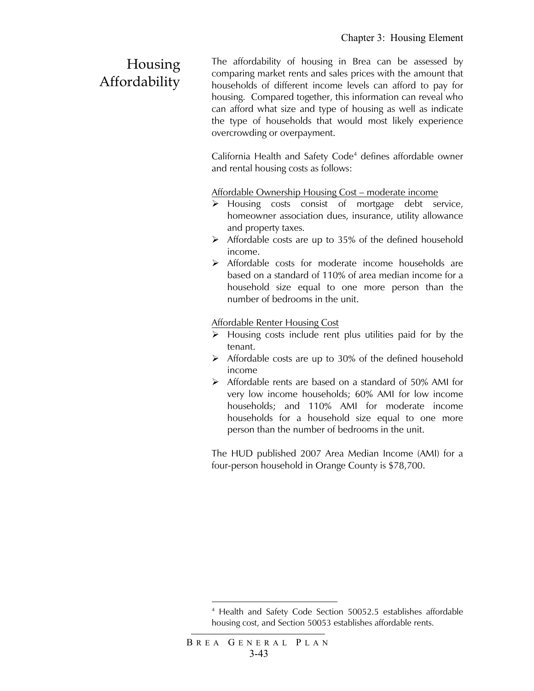### Housing Affordability

The affordability of housing in Brea can be assessed by comparing market rents and sales prices with the amount that households of different income levels can afford to pay for housing. Compared together, this information can reveal who can afford what size and type of housing as well as indicate the type of households that would most likely experience overcrowding or overpayment.

California Health and Safety Code<sup>4</sup> defines affordable owner and rental housing costs as follows:

Affordable Ownership Housing Cost – moderate income

- ¾ Housing costs consist of mortgage debt service, homeowner association dues, insurance, utility allowance and property taxes.
- $\triangleright$  Affordable costs are up to 35% of the defined household income.
- ¾ Affordable costs for moderate income households are based on a standard of 110% of area median income for a household size equal to one more person than the number of bedrooms in the unit.

Affordable Renter Housing Cost

- $\triangleright$  Housing costs include rent plus utilities paid for by the tenant.
- $\triangleright$  Affordable costs are up to 30% of the defined household income
- ¾ Affordable rents are based on a standard of 50% AMI for very low income households; 60% AMI for low income households; and 110% AMI for moderate income households for a household size equal to one more person than the number of bedrooms in the unit.

The HUD published 2007 Area Median Income (AMI) for a four-person household in Orange County is \$78,700.

1

<sup>4</sup> Health and Safety Code Section 50052.5 establishes affordable housing cost, and Section 50053 establishes affordable rents.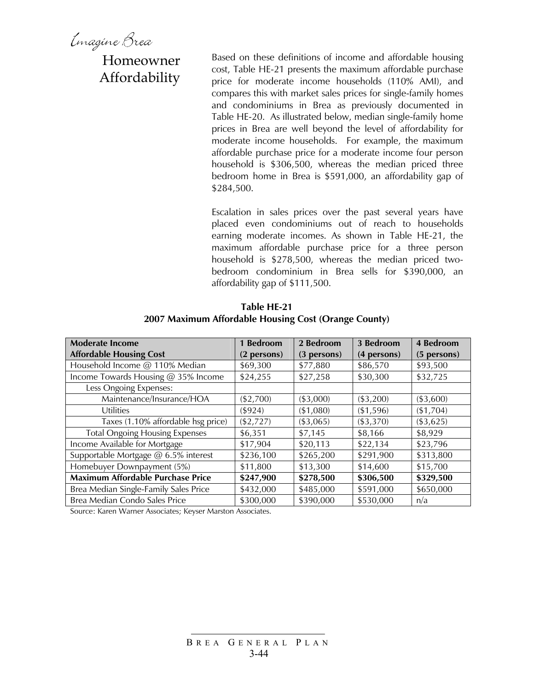Emagine Brea

Homeowner Affordability

Based on these definitions of income and affordable housing cost, Table HE-21 presents the maximum affordable purchase price for moderate income households (110% AMI), and compares this with market sales prices for single-family homes and condominiums in Brea as previously documented in Table HE-20. As illustrated below, median single-family home prices in Brea are well beyond the level of affordability for moderate income households. For example, the maximum affordable purchase price for a moderate income four person household is \$306,500, whereas the median priced three bedroom home in Brea is \$591,000, an affordability gap of \$284,500.

Escalation in sales prices over the past several years have placed even condominiums out of reach to households earning moderate incomes. As shown in Table HE-21, the maximum affordable purchase price for a three person household is \$278,500, whereas the median priced twobedroom condominium in Brea sells for \$390,000, an affordability gap of \$111,500.

| <b>Moderate Income</b>                   | 1 Bedroom   | 2 Bedroom   | 3 Bedroom   | 4 Bedroom   |
|------------------------------------------|-------------|-------------|-------------|-------------|
| <b>Affordable Housing Cost</b>           | (2 persons) | (3 persons) | (4 persons) | (5 persons) |
| Household Income @ 110% Median           | \$69,300    | \$77,880    | \$86,570    | \$93,500    |
| Income Towards Housing @ 35% Income      | \$24,255    | \$27,258    | \$30,300    | \$32,725    |
| Less Ongoing Expenses:                   |             |             |             |             |
| Maintenance/Insurance/HOA                | (\$2,700)   | (\$3,000)   | (\$3,200)   | ( \$3,600)  |
| Utilities                                | ( \$924)    | (\$1,080)   | (\$1,596)   | (\$1,704)   |
| Taxes (1.10% affordable hsg price)       | (\$2,727)   | (\$3,065)   | (\$3,370)   | ( \$3,625)  |
| <b>Total Ongoing Housing Expenses</b>    | \$6,351     | \$7,145     | \$8,166     | \$8,929     |
| Income Available for Mortgage            | \$17,904    | \$20,113    | \$22,134    | \$23,796    |
| Supportable Mortgage @ 6.5% interest     | \$236,100   | \$265,200   | \$291,900   | \$313,800   |
| Homebuyer Downpayment (5%)               | \$11,800    | \$13,300    | \$14,600    | \$15,700    |
| <b>Maximum Affordable Purchase Price</b> | \$247,900   | \$278,500   | \$306,500   | \$329,500   |
| Brea Median Single-Family Sales Price    | \$432,000   | \$485,000   | \$591,000   | \$650,000   |
| Brea Median Condo Sales Price            | \$300,000   | \$390,000   | \$530,000   | n/a         |

**Table HE-21 2007 Maximum Affordable Housing Cost (Orange County)** 

Source: Karen Warner Associates; Keyser Marston Associates.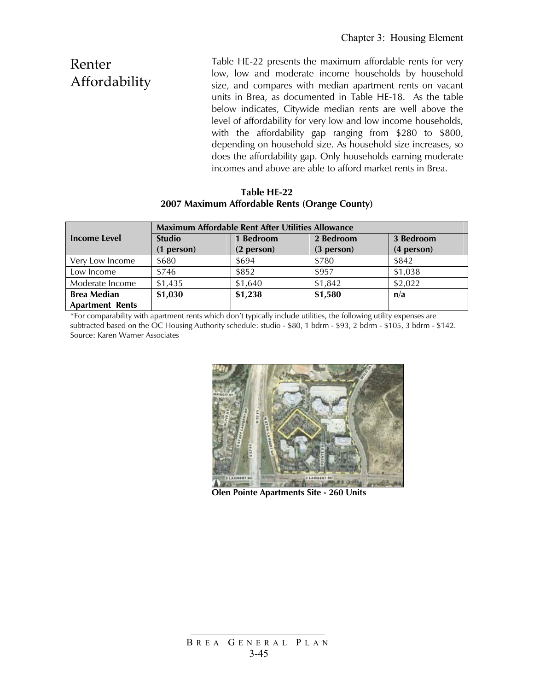Renter Affordability Table HE-22 presents the maximum affordable rents for very low, low and moderate income households by household size, and compares with median apartment rents on vacant units in Brea, as documented in Table HE-18. As the table below indicates, Citywide median rents are well above the level of affordability for very low and low income households, with the affordability gap ranging from \$280 to \$800, depending on household size. As household size increases, so does the affordability gap. Only households earning moderate incomes and above are able to afford market rents in Brea.

#### **Table HE-22 2007 Maximum Affordable Rents (Orange County)**

|                        | <b>Maximum Affordable Rent After Utilities Allowance</b> |              |              |              |  |
|------------------------|----------------------------------------------------------|--------------|--------------|--------------|--|
| Income Level           | <b>Studio</b>                                            | 1 Bedroom    | 2 Bedroom    | 3 Bedroom    |  |
|                        | $(1$ person $)$                                          | $(2$ person) | $(3$ person) | $(4$ person) |  |
| Very Low Income        | \$680                                                    | \$694        | \$780        | \$842        |  |
| Low Income             | \$746                                                    | \$852        | \$957        | \$1,038      |  |
| Moderate Income        | \$1,435                                                  | \$1,640      | \$1,842      | \$2,022      |  |
| <b>Brea Median</b>     | \$1,030                                                  | \$1,238      | \$1,580      | n/a          |  |
| <b>Apartment Rents</b> |                                                          |              |              |              |  |

\*For comparability with apartment rents which don't typically include utilities, the following utility expenses are subtracted based on the OC Housing Authority schedule: studio - \$80, 1 bdrm - \$93, 2 bdrm - \$105, 3 bdrm - \$142. Source: Karen Warner Associates



**Olen Pointe Apartments Site - 260 Units**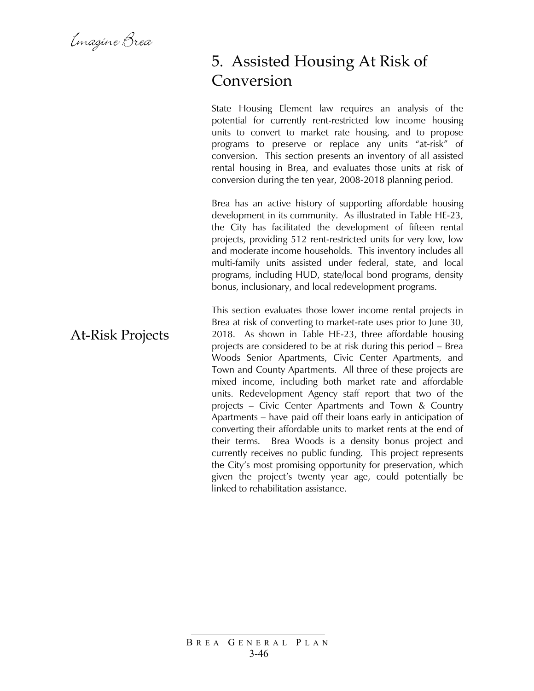Emagine Brea

At-Risk Projects

### 5. Assisted Housing At Risk of Conversion

State Housing Element law requires an analysis of the potential for currently rent-restricted low income housing units to convert to market rate housing, and to propose programs to preserve or replace any units "at-risk" of conversion. This section presents an inventory of all assisted rental housing in Brea, and evaluates those units at risk of conversion during the ten year, 2008-2018 planning period.

Brea has an active history of supporting affordable housing development in its community. As illustrated in Table HE-23, the City has facilitated the development of fifteen rental projects, providing 512 rent-restricted units for very low, low and moderate income households. This inventory includes all multi-family units assisted under federal, state, and local programs, including HUD, state/local bond programs, density bonus, inclusionary, and local redevelopment programs.

This section evaluates those lower income rental projects in Brea at risk of converting to market-rate uses prior to June 30, 2018. As shown in Table HE-23, three affordable housing projects are considered to be at risk during this period – Brea Woods Senior Apartments, Civic Center Apartments, and Town and County Apartments. All three of these projects are mixed income, including both market rate and affordable units. Redevelopment Agency staff report that two of the projects – Civic Center Apartments and Town & Country Apartments – have paid off their loans early in anticipation of converting their affordable units to market rents at the end of their terms. Brea Woods is a density bonus project and currently receives no public funding. This project represents the City's most promising opportunity for preservation, which given the project's twenty year age, could potentially be linked to rehabilitation assistance.

#### B REA G ENERAL P LAN 3-46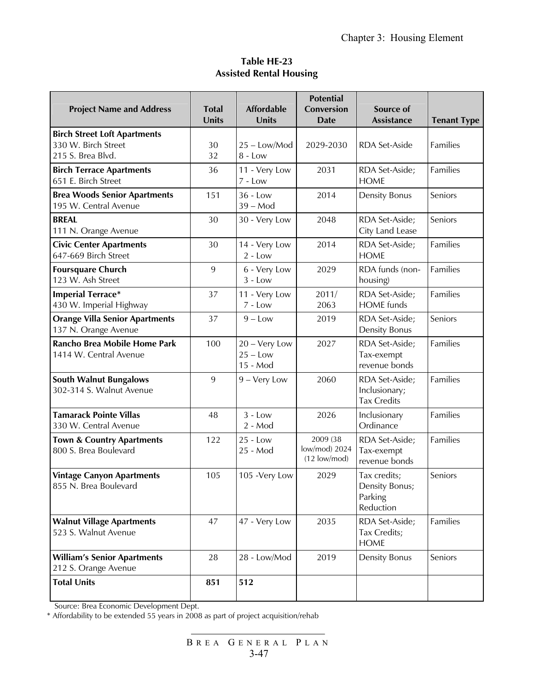### **Table HE-23 Assisted Rental Housing**

| <b>Project Name and Address</b>                                                 | <b>Total</b><br>Units | <b>Affordable</b><br><b>Units</b>       | <b>Potential</b><br>Conversion<br><b>Date</b>       | Source of<br><b>Assistance</b>                         | <b>Tenant Type</b> |
|---------------------------------------------------------------------------------|-----------------------|-----------------------------------------|-----------------------------------------------------|--------------------------------------------------------|--------------------|
| <b>Birch Street Loft Apartments</b><br>330 W. Birch Street<br>215 S. Brea Blvd. | 30<br>32              | 25 - Low/Mod<br>$8 - Low$               | 2029-2030                                           | RDA Set-Aside                                          | Families           |
| <b>Birch Terrace Apartments</b><br>651 E. Birch Street                          | 36                    | 11 - Very Low<br>$7 - Low$              | 2031                                                | RDA Set-Aside;<br><b>HOME</b>                          | Families           |
| <b>Brea Woods Senior Apartments</b><br>195 W. Central Avenue                    | 151                   | $36 - Low$<br>$39 - Mod$                | 2014                                                | <b>Density Bonus</b>                                   | Seniors            |
| <b>BREAL</b><br>111 N. Orange Avenue                                            | 30                    | 30 - Very Low                           | 2048                                                | RDA Set-Aside;<br>City Land Lease                      | Seniors            |
| <b>Civic Center Apartments</b><br>647-669 Birch Street                          | 30                    | 14 - Very Low<br>$2 - Low$              | 2014                                                | RDA Set-Aside;<br><b>HOME</b>                          | Families           |
| <b>Foursquare Church</b><br>123 W. Ash Street                                   | 9                     | 6 - Very Low<br>$3 - Low$               | 2029                                                | RDA funds (non-<br>housing)                            | Families           |
| <b>Imperial Terrace*</b><br>430 W. Imperial Highway                             | 37                    | 11 - Very Low<br>$7 - Low$              | 2011/<br>2063                                       | RDA Set-Aside;<br><b>HOME</b> funds                    | Families           |
| <b>Orange Villa Senior Apartments</b><br>137 N. Orange Avenue                   | 37                    | $9 - Low$                               | 2019                                                | RDA Set-Aside;<br><b>Density Bonus</b>                 | Seniors            |
| Rancho Brea Mobile Home Park<br>1414 W. Central Avenue                          | 100                   | 20 - Very Low<br>$25 - Low$<br>15 - Mod | 2027                                                | RDA Set-Aside;<br>Tax-exempt<br>revenue bonds          | Families           |
| <b>South Walnut Bungalows</b><br>302-314 S. Walnut Avenue                       | 9                     | 9 - Very Low                            | 2060                                                | RDA Set-Aside;<br>Inclusionary;<br><b>Tax Credits</b>  | Families           |
| <b>Tamarack Pointe Villas</b><br>330 W. Central Avenue                          | 48                    | $3 - Low$<br>$2 - Mod$                  | 2026                                                | Inclusionary<br>Ordinance                              | Families           |
| <b>Town &amp; Country Apartments</b><br>800 S. Brea Boulevard                   | 122                   | $25 - Low$<br>25 - Mod                  | 2009 (38<br>low/mod) 2024<br>$(12 \text{ low/mol})$ | RDA Set-Aside;<br>Tax-exempt<br>revenue bonds          | Families           |
| <b>Vintage Canyon Apartments</b><br>855 N. Brea Boulevard                       | 105                   | 105 - Very Low                          | 2029                                                | Tax credits;<br>Density Bonus;<br>Parking<br>Reduction | Seniors            |
| <b>Walnut Village Apartments</b><br>523 S. Walnut Avenue                        | 47                    | 47 - Very Low                           | 2035                                                | RDA Set-Aside;<br>Tax Credits;<br><b>HOME</b>          | Families           |
| <b>William's Senior Apartments</b><br>212 S. Orange Avenue                      | 28                    | 28 - Low/Mod                            | 2019                                                | Density Bonus                                          | Seniors            |
| <b>Total Units</b>                                                              | 851                   | 512                                     |                                                     |                                                        |                    |

Source: Brea Economic Development Dept.

\* Affordability to be extended 55 years in 2008 as part of project acquisition/rehab

B REA G ENERAL P LAN 3-47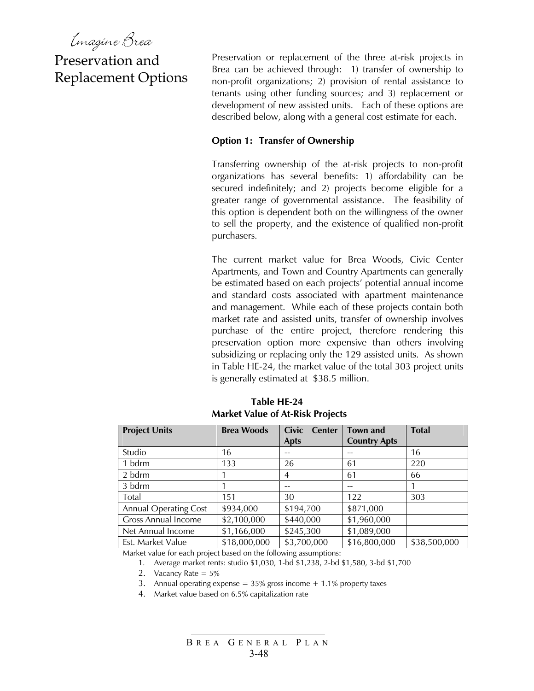Emagine Brea

### Preservation and Replacement Options

Preservation or replacement of the three at-risk projects in Brea can be achieved through: 1) transfer of ownership to non-profit organizations; 2) provision of rental assistance to tenants using other funding sources; and 3) replacement or development of new assisted units. Each of these options are described below, along with a general cost estimate for each.

#### **Option 1: Transfer of Ownership**

Transferring ownership of the at-risk projects to non-profit organizations has several benefits: 1) affordability can be secured indefinitely; and 2) projects become eligible for a greater range of governmental assistance. The feasibility of this option is dependent both on the willingness of the owner to sell the property, and the existence of qualified non-profit purchasers.

The current market value for Brea Woods, Civic Center Apartments, and Town and Country Apartments can generally be estimated based on each projects' potential annual income and standard costs associated with apartment maintenance and management. While each of these projects contain both market rate and assisted units, transfer of ownership involves purchase of the entire project, therefore rendering this preservation option more expensive than others involving subsidizing or replacing only the 129 assisted units. As shown in Table HE-24, the market value of the total 303 project units is generally estimated at \$38.5 million.

| <b>Project Units</b>         | <b>Brea Woods</b> | <b>Civic</b><br><b>Center</b> | Town and            | <b>Total</b> |
|------------------------------|-------------------|-------------------------------|---------------------|--------------|
|                              |                   | <b>Apts</b>                   | <b>Country Apts</b> |              |
| Studio                       | 16                |                               |                     | 16           |
| 1 bdrm                       | 133               | 26                            | 61                  | 220          |
| 2 bdrm                       |                   | 4                             | 61                  | 66           |
| 3 bdrm                       |                   |                               |                     |              |
| Total                        | 151               | 30                            | 122                 | 303          |
| <b>Annual Operating Cost</b> | \$934,000         | \$194,700                     | \$871,000           |              |
| <b>Gross Annual Income</b>   | \$2,100,000       | \$440,000                     | \$1,960,000         |              |
| Net Annual Income            | \$1,166,000       | \$245,300                     | \$1,089,000         |              |
| Est. Market Value            | \$18,000,000      | \$3,700,000                   | \$16,800,000        | \$38,500,000 |

**Table HE-24 Market Value of At-Risk Projects** 

Market value for each project based on the following assumptions:

1. Average market rents: studio \$1,030, 1-bd \$1,238, 2-bd \$1,580, 3-bd \$1,700

- 2. Vacancy Rate = 5%
- 3. Annual operating expense =  $35\%$  gross income  $+ 1.1\%$  property taxes
- 4. Market value based on 6.5% capitalization rate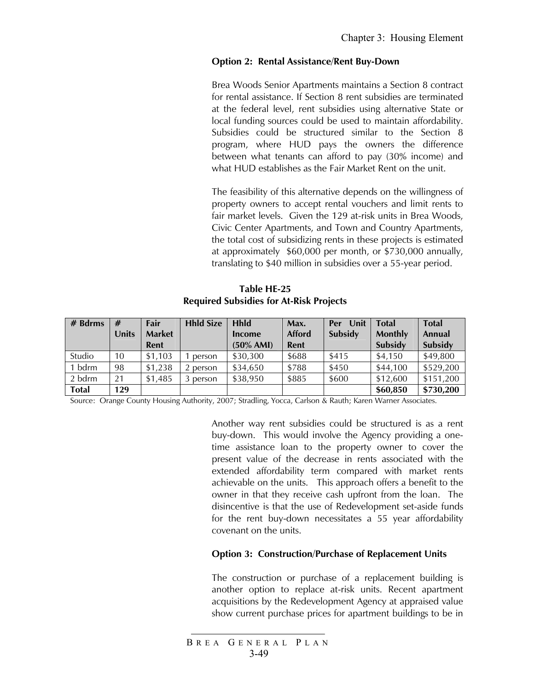#### **Option 2: Rental Assistance/Rent Buy-Down**

Brea Woods Senior Apartments maintains a Section 8 contract for rental assistance. If Section 8 rent subsidies are terminated at the federal level, rent subsidies using alternative State or local funding sources could be used to maintain affordability. Subsidies could be structured similar to the Section 8 program, where HUD pays the owners the difference between what tenants can afford to pay (30% income) and what HUD establishes as the Fair Market Rent on the unit.

The feasibility of this alternative depends on the willingness of property owners to accept rental vouchers and limit rents to fair market levels. Given the 129 at-risk units in Brea Woods, Civic Center Apartments, and Town and Country Apartments, the total cost of subsidizing rents in these projects is estimated at approximately \$60,000 per month, or \$730,000 annually, translating to \$40 million in subsidies over a 55-year period.

#### **Table HE-25 Required Subsidies for At-Risk Projects**

| $#$ Bdrms    | #     | Fair          | <b>Hhld Size</b> | <b>Hhld</b>  | Max.          | <b>Unit</b><br>Per | <b>Total</b>   | <b>Total</b> |
|--------------|-------|---------------|------------------|--------------|---------------|--------------------|----------------|--------------|
|              | Units | <b>Market</b> |                  | Income       | <b>Afford</b> | Subsidy            | <b>Monthly</b> | Annual       |
|              |       | Rent          |                  | $(50\%$ AMI) | Rent          |                    | Subsidy        | Subsidy      |
| Studio       | 10    | \$1.103       | person           | \$30,300     | \$688         | \$415              | \$4,150        | \$49,800     |
| bdrm         | 98    | \$1,238       | 2 person         | \$34,650     | \$788         | \$450              | \$44,100       | \$529,200    |
| 2 bdrm       | 21    | \$1,485       | 3 person         | \$38,950     | \$885         | \$600              | \$12,600       | \$151,200    |
| <b>Total</b> | 129   |               |                  |              |               |                    | \$60,850       | \$730,200    |

Source: Orange County Housing Authority, 2007; Stradling, Yocca, Carlson & Rauth; Karen Warner Associates.

Another way rent subsidies could be structured is as a rent buy-down. This would involve the Agency providing a onetime assistance loan to the property owner to cover the present value of the decrease in rents associated with the extended affordability term compared with market rents achievable on the units. This approach offers a benefit to the owner in that they receive cash upfront from the loan. The disincentive is that the use of Redevelopment set-aside funds for the rent buy-down necessitates a 55 year affordability covenant on the units.

#### **Option 3: Construction/Purchase of Replacement Units**

The construction or purchase of a replacement building is another option to replace at-risk units. Recent apartment acquisitions by the Redevelopment Agency at appraised value show current purchase prices for apartment buildings to be in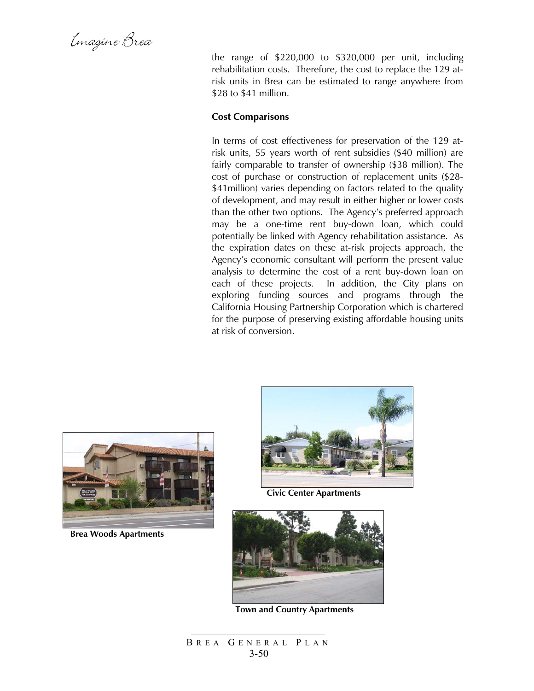Emagine Brea

the range of \$220,000 to \$320,000 per unit, including rehabilitation costs. Therefore, the cost to replace the 129 atrisk units in Brea can be estimated to range anywhere from \$28 to \$41 million.

#### **Cost Comparisons**

In terms of cost effectiveness for preservation of the 129 atrisk units, 55 years worth of rent subsidies (\$40 million) are fairly comparable to transfer of ownership (\$38 million). The cost of purchase or construction of replacement units (\$28- \$41 million) varies depending on factors related to the quality of development, and may result in either higher or lower costs than the other two options. The Agency's preferred approach may be a one-time rent buy-down loan, which could potentially be linked with Agency rehabilitation assistance. As the expiration dates on these at-risk projects approach, the Agency's economic consultant will perform the present value analysis to determine the cost of a rent buy-down loan on each of these projects. In addition, the City plans on exploring funding sources and programs through the California Housing Partnership Corporation which is chartered for the purpose of preserving existing affordable housing units at risk of conversion.



**Brea Woods Apartments** 



**Civic Center Apartments** 



**Town and Country Apartments**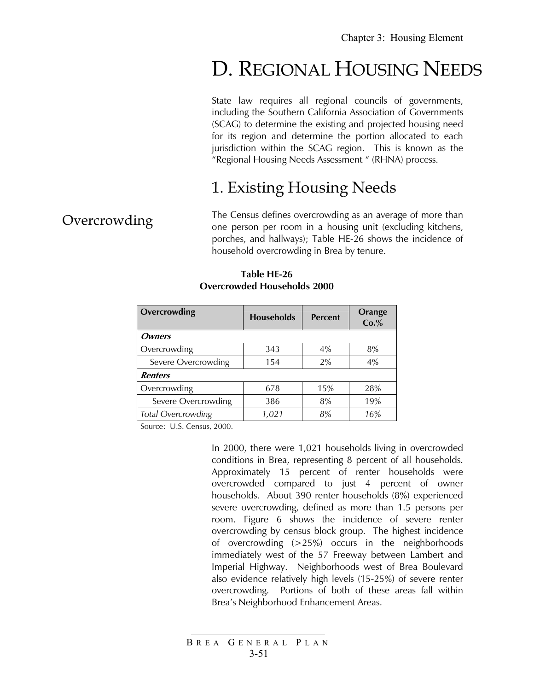# D. REGIONAL HOUSING NEEDS

State law requires all regional councils of governments, including the Southern California Association of Governments (SCAG) to determine the existing and projected housing need for its region and determine the portion allocated to each jurisdiction within the SCAG region. This is known as the "Regional Housing Needs Assessment " (RHNA) process.

### 1. Existing Housing Needs

### **Overcrowding**

The Census defines overcrowding as an average of more than one person per room in a housing unit (excluding kitchens, porches, and hallways); Table HE-26 shows the incidence of household overcrowding in Brea by tenure.

| Overcrowding        | <b>Households</b> | <b>Percent</b> | <b>Orange</b><br>Co.% |
|---------------------|-------------------|----------------|-----------------------|
| <b>Owners</b>       |                   |                |                       |
| Overcrowding        | 343               | 4%             | 8%                    |
| Severe Overcrowding | 154               | 2%             | 4%                    |
| <b>Renters</b>      |                   |                |                       |
| Overcrowding        | 678               | 15%            | 28%                   |
| Severe Overcrowding | 386               | 8%             | 19%                   |
| Total Overcrowding  | 1.021             | 8%             | 16%                   |

#### **Table HE-26 Overcrowded Households 2000**

Source: U.S. Census, 2000.

In 2000, there were 1,021 households living in overcrowded conditions in Brea, representing 8 percent of all households. Approximately 15 percent of renter households were overcrowded compared to just 4 percent of owner households. About 390 renter households (8%) experienced severe overcrowding, defined as more than 1.5 persons per room. Figure 6 shows the incidence of severe renter overcrowding by census block group. The highest incidence of overcrowding (>25%) occurs in the neighborhoods immediately west of the 57 Freeway between Lambert and Imperial Highway. Neighborhoods west of Brea Boulevard also evidence relatively high levels (15-25%) of severe renter overcrowding. Portions of both of these areas fall within Brea's Neighborhood Enhancement Areas.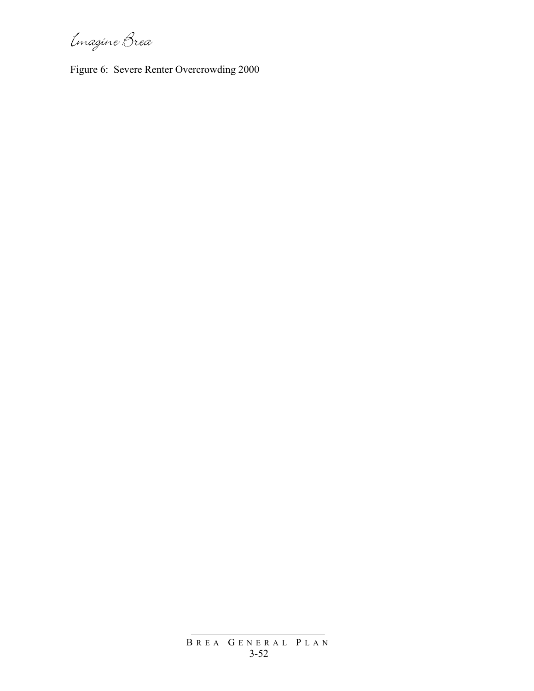Imagine Brea

Figure 6: Severe Renter Overcrowding 2000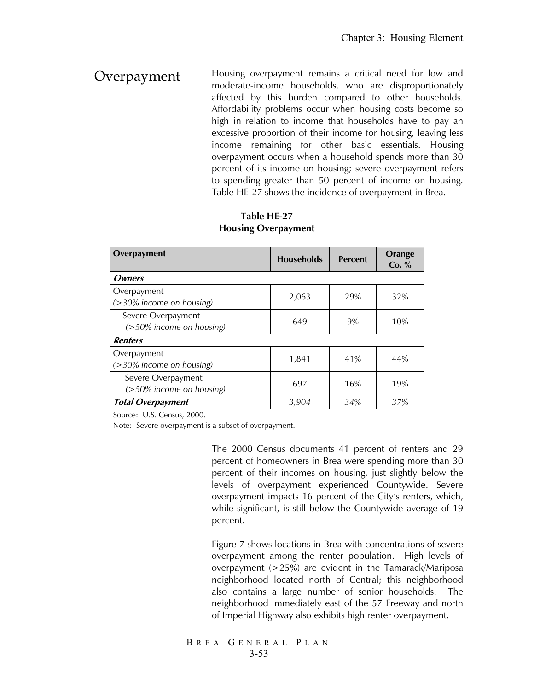Overpayment Housing overpayment remains a critical need for low and moderate-income households, who are disproportionately affected by this burden compared to other households. Affordability problems occur when housing costs become so high in relation to income that households have to pay an excessive proportion of their income for housing, leaving less income remaining for other basic essentials. Housing overpayment occurs when a household spends more than 30 percent of its income on housing; severe overpayment refers to spending greater than 50 percent of income on housing. Table HE-27 shows the incidence of overpayment in Brea.

### **Table HE-27 Housing Overpayment**

| Overpayment                                    | <b>Households</b> | <b>Percent</b> | Orange<br>Co. % |
|------------------------------------------------|-------------------|----------------|-----------------|
| <b>Owners</b>                                  |                   |                |                 |
| Overpayment<br>$($ >30% income on housing)     | 2,063             | 29%            | 32%             |
| Severe Overpayment<br>(>50% income on housing) | 649               | 9%             | 10%             |
| <b>Renters</b>                                 |                   |                |                 |
| Overpayment<br>$($ >30% income on housing)     | 1,841             | 41%            | 44%             |
| Severe Overpayment<br>(>50% income on housing) | 697               | 16%            | 19%             |
| <b>Total Overpayment</b>                       | 3,904             | 34%            | 37%             |

Source: U.S. Census, 2000.

Note: Severe overpayment is a subset of overpayment.

The 2000 Census documents 41 percent of renters and 29 percent of homeowners in Brea were spending more than 30 percent of their incomes on housing, just slightly below the levels of overpayment experienced Countywide. Severe overpayment impacts 16 percent of the City's renters, which, while significant, is still below the Countywide average of 19 percent.

Figure 7 shows locations in Brea with concentrations of severe overpayment among the renter population. High levels of overpayment (>25%) are evident in the Tamarack/Mariposa neighborhood located north of Central; this neighborhood also contains a large number of senior households. The neighborhood immediately east of the 57 Freeway and north of Imperial Highway also exhibits high renter overpayment.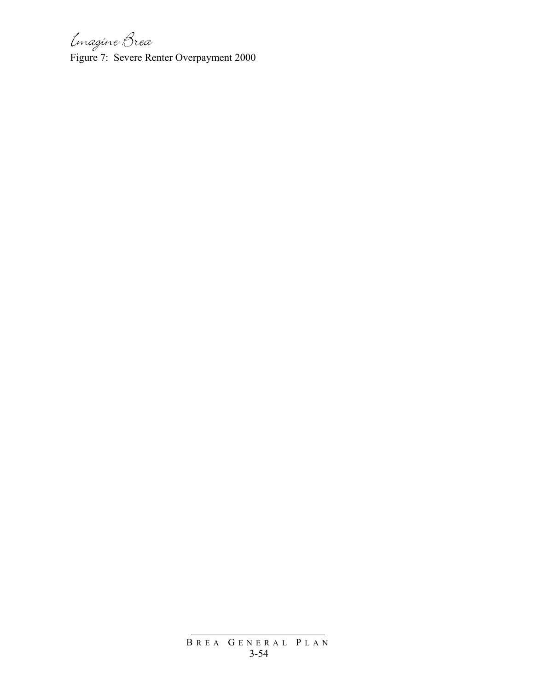Imagine Brea

Figure 7: Severe Renter Overpayment 2000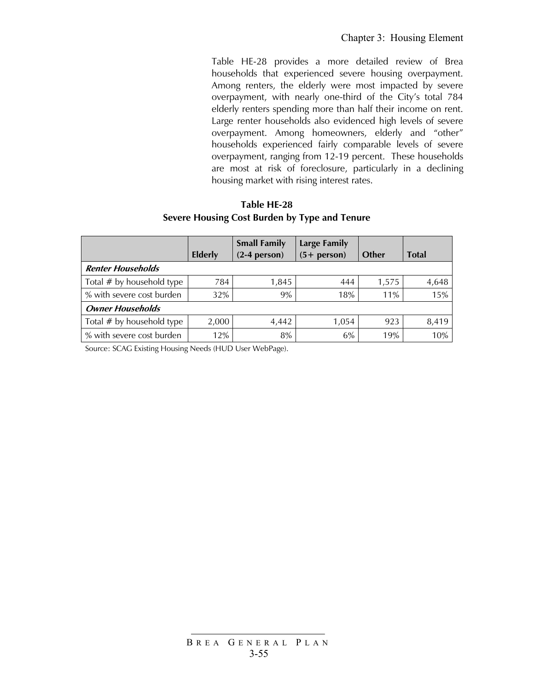Table HE-28 provides a more detailed review of Brea households that experienced severe housing overpayment. Among renters, the elderly were most impacted by severe overpayment, with nearly one-third of the City's total 784 elderly renters spending more than half their income on rent. Large renter households also evidenced high levels of severe overpayment. Among homeowners, elderly and "other" households experienced fairly comparable levels of severe overpayment, ranging from 12-19 percent. These households are most at risk of foreclosure, particularly in a declining housing market with rising interest rates.

### **Table HE-28 Severe Housing Cost Burden by Type and Tenure**

|                             | <b>Elderly</b> | <b>Small Family</b><br>$(2-4$ person) | <b>Large Family</b><br>$(5 + person)$ | Other | <b>Total</b> |
|-----------------------------|----------------|---------------------------------------|---------------------------------------|-------|--------------|
| <b>Renter Households</b>    |                |                                       |                                       |       |              |
| Total $#$ by household type | 784            | 1.845                                 | 444                                   | 1,575 | 4,648        |
| % with severe cost burden   | 32%            | 9%                                    | 18%                                   | 11%   | 15%          |
| <b>Owner Households</b>     |                |                                       |                                       |       |              |
| Total $#$ by household type | 2,000          | 4,442                                 | 1.054                                 | 923   | 8.419        |
| % with severe cost burden   | 12%            | 8%                                    | 6%                                    | 19%   | 10%          |

Source: SCAG Existing Housing Needs (HUD User WebPage).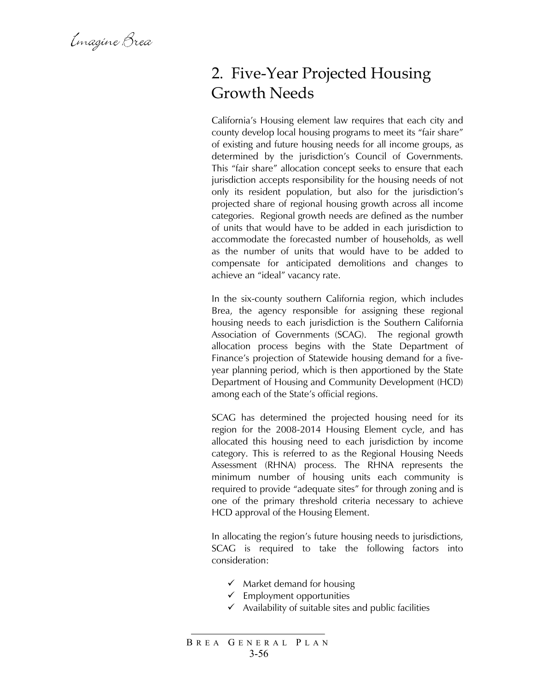Emagine Brea

### 2. Five-Year Projected Housing Growth Needs

California's Housing element law requires that each city and county develop local housing programs to meet its "fair share" of existing and future housing needs for all income groups, as determined by the jurisdiction's Council of Governments. This "fair share" allocation concept seeks to ensure that each jurisdiction accepts responsibility for the housing needs of not only its resident population, but also for the jurisdiction's projected share of regional housing growth across all income categories. Regional growth needs are defined as the number of units that would have to be added in each jurisdiction to accommodate the forecasted number of households, as well as the number of units that would have to be added to compensate for anticipated demolitions and changes to achieve an "ideal" vacancy rate.

In the six-county southern California region, which includes Brea, the agency responsible for assigning these regional housing needs to each jurisdiction is the Southern California Association of Governments (SCAG). The regional growth allocation process begins with the State Department of Finance's projection of Statewide housing demand for a fiveyear planning period, which is then apportioned by the State Department of Housing and Community Development (HCD) among each of the State's official regions.

SCAG has determined the projected housing need for its region for the 2008-2014 Housing Element cycle, and has allocated this housing need to each jurisdiction by income category. This is referred to as the Regional Housing Needs Assessment (RHNA) process. The RHNA represents the minimum number of housing units each community is required to provide "adequate sites" for through zoning and is one of the primary threshold criteria necessary to achieve HCD approval of the Housing Element.

In allocating the region's future housing needs to jurisdictions, SCAG is required to take the following factors into consideration:

- $\checkmark$  Market demand for housing
- $\checkmark$  Employment opportunities
- $\checkmark$  Availability of suitable sites and public facilities